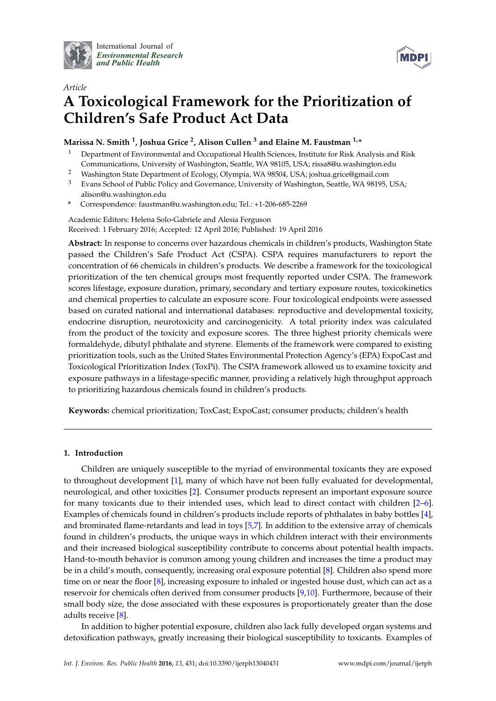

International Journal of *[Environmental Research](http://www.mdpi.com/journal/ijerph) and Public Health*



# *Article* **A Toxicological Framework for the Prioritization of Children's Safe Product Act Data**

# **Marissa N. Smith <sup>1</sup> , Joshua Grice <sup>2</sup> , Alison Cullen <sup>3</sup> and Elaine M. Faustman 1,\***

- <sup>1</sup> Department of Environmental and Occupational Health Sciences, Institute for Risk Analysis and Risk Communications, University of Washington, Seattle, WA 98105, USA; rissa8@u.washington.edu
- <sup>2</sup> Washington State Department of Ecology, Olympia, WA 98504, USA; joshua.grice@gmail.com
- <sup>3</sup> Evans School of Public Policy and Governance, University of Washington, Seattle, WA 98195, USA; alison@u.washington.edu
- **\*** Correspondence: faustman@u.washington.edu; Tel.: +1-206-685-2269

Academic Editors: Helena Solo-Gabriele and Alesia Ferguson Received: 1 February 2016; Accepted: 12 April 2016; Published: 19 April 2016

**Abstract:** In response to concerns over hazardous chemicals in children's products, Washington State passed the Children's Safe Product Act (CSPA). CSPA requires manufacturers to report the concentration of 66 chemicals in children's products. We describe a framework for the toxicological prioritization of the ten chemical groups most frequently reported under CSPA. The framework scores lifestage, exposure duration, primary, secondary and tertiary exposure routes, toxicokinetics and chemical properties to calculate an exposure score. Four toxicological endpoints were assessed based on curated national and international databases: reproductive and developmental toxicity, endocrine disruption, neurotoxicity and carcinogenicity. A total priority index was calculated from the product of the toxicity and exposure scores. The three highest priority chemicals were formaldehyde, dibutyl phthalate and styrene. Elements of the framework were compared to existing prioritization tools, such as the United States Environmental Protection Agency's (EPA) ExpoCast and Toxicological Prioritization Index (ToxPi). The CSPA framework allowed us to examine toxicity and exposure pathways in a lifestage-specific manner, providing a relatively high throughput approach to prioritizing hazardous chemicals found in children's products.

**Keywords:** chemical prioritization; ToxCast; ExpoCast; consumer products; children's health

# **1. Introduction**

Children are uniquely susceptible to the myriad of environmental toxicants they are exposed to throughout development [\[1\]](#page-21-0), many of which have not been fully evaluated for developmental, neurological, and other toxicities [\[2\]](#page-21-1). Consumer products represent an important exposure source for many toxicants due to their intended uses, which lead to direct contact with children [\[2](#page-21-1)[–6\]](#page-21-2). Examples of chemicals found in children's products include reports of phthalates in baby bottles [\[4\]](#page-21-3), and brominated flame-retardants and lead in toys [\[5](#page-21-4)[,7\]](#page-21-5). In addition to the extensive array of chemicals found in children's products, the unique ways in which children interact with their environments and their increased biological susceptibility contribute to concerns about potential health impacts. Hand-to-mouth behavior is common among young children and increases the time a product may be in a child's mouth, consequently, increasing oral exposure potential [\[8\]](#page-21-6). Children also spend more time on or near the floor [\[8\]](#page-21-6), increasing exposure to inhaled or ingested house dust, which can act as a reservoir for chemicals often derived from consumer products [\[9,](#page-21-7)[10\]](#page-21-8). Furthermore, because of their small body size, the dose associated with these exposures is proportionately greater than the dose adults receive [\[8\]](#page-21-6).

In addition to higher potential exposure, children also lack fully developed organ systems and detoxification pathways, greatly increasing their biological susceptibility to toxicants. Examples of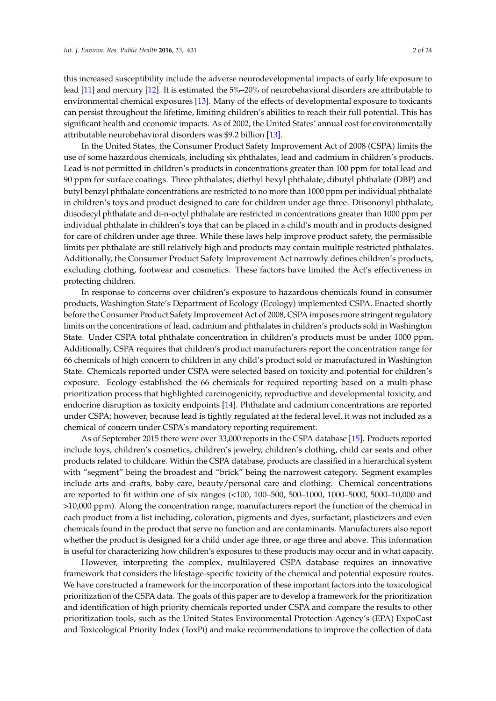this increased susceptibility include the adverse neurodevelopmental impacts of early life exposure to lead [\[11\]](#page-21-9) and mercury [\[12\]](#page-21-10). It is estimated the 5%–20% of neurobehavioral disorders are attributable to environmental chemical exposures [\[13\]](#page-21-11). Many of the effects of developmental exposure to toxicants can persist throughout the lifetime, limiting children's abilities to reach their full potential. This has significant health and economic impacts. As of 2002, the United States' annual cost for environmentally attributable neurobehavioral disorders was \$9.2 billion [\[13\]](#page-21-11).

In the United States, the Consumer Product Safety Improvement Act of 2008 (CSPA) limits the use of some hazardous chemicals, including six phthalates, lead and cadmium in children's products. Lead is not permitted in children's products in concentrations greater than 100 ppm for total lead and 90 ppm for surface coatings. Three phthalates; diethyl hexyl phthalate, dibutyl phthalate (DBP) and butyl benzyl phthalate concentrations are restricted to no more than 1000 ppm per individual phthalate in children's toys and product designed to care for children under age three. Diisononyl phthalate, diisodecyl phthalate and di-n-octyl phthalate are restricted in concentrations greater than 1000 ppm per individual phthalate in children's toys that can be placed in a child's mouth and in products designed for care of children under age three. While these laws help improve product safety, the permissible limits per phthalate are still relatively high and products may contain multiple restricted phthalates. Additionally, the Consumer Product Safety Improvement Act narrowly defines children's products, excluding clothing, footwear and cosmetics. These factors have limited the Act's effectiveness in protecting children.

In response to concerns over children's exposure to hazardous chemicals found in consumer products, Washington State's Department of Ecology (Ecology) implemented CSPA. Enacted shortly before the Consumer Product Safety Improvement Act of 2008, CSPA imposes more stringent regulatory limits on the concentrations of lead, cadmium and phthalates in children's products sold in Washington State. Under CSPA total phthalate concentration in children's products must be under 1000 ppm. Additionally, CSPA requires that children's product manufacturers report the concentration range for 66 chemicals of high concern to children in any child's product sold or manufactured in Washington State. Chemicals reported under CSPA were selected based on toxicity and potential for children's exposure. Ecology established the 66 chemicals for required reporting based on a multi-phase prioritization process that highlighted carcinogenicity, reproductive and developmental toxicity, and endocrine disruption as toxicity endpoints [\[14\]](#page-21-12). Phthalate and cadmium concentrations are reported under CSPA; however, because lead is tightly regulated at the federal level, it was not included as a chemical of concern under CSPA's mandatory reporting requirement.

As of September 2015 there were over 33,000 reports in the CSPA database [\[15\]](#page-21-13). Products reported include toys, children's cosmetics, children's jewelry, children's clothing, child car seats and other products related to childcare. Within the CSPA database, products are classified in a hierarchical system with "segment" being the broadest and "brick" being the narrowest category. Segment examples include arts and crafts, baby care, beauty/personal care and clothing. Chemical concentrations are reported to fit within one of six ranges (<100, 100–500, 500–1000, 1000–5000, 5000–10,000 and >10,000 ppm). Along the concentration range, manufacturers report the function of the chemical in each product from a list including, coloration, pigments and dyes, surfactant, plasticizers and even chemicals found in the product that serve no function and are contaminants. Manufacturers also report whether the product is designed for a child under age three, or age three and above. This information is useful for characterizing how children's exposures to these products may occur and in what capacity.

However, interpreting the complex, multilayered CSPA database requires an innovative framework that considers the lifestage-specific toxicity of the chemical and potential exposure routes. We have constructed a framework for the incorporation of these important factors into the toxicological prioritization of the CSPA data. The goals of this paper are to develop a framework for the prioritization and identification of high priority chemicals reported under CSPA and compare the results to other prioritization tools, such as the United States Environmental Protection Agency's (EPA) ExpoCast and Toxicological Priority Index (ToxPi) and make recommendations to improve the collection of data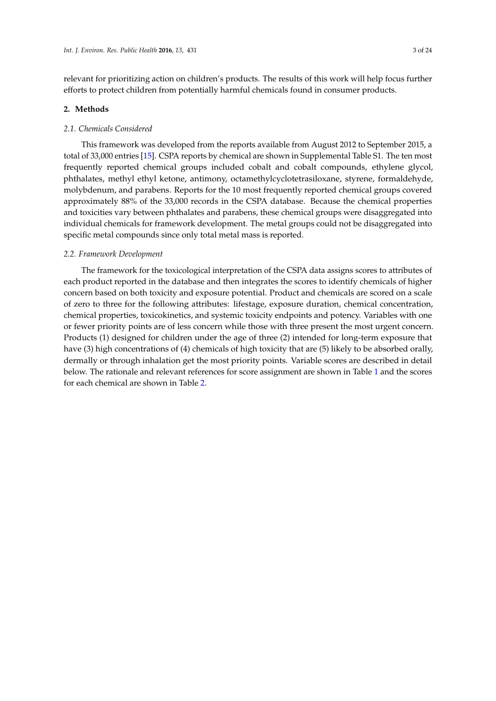relevant for prioritizing action on children's products. The results of this work will help focus further efforts to protect children from potentially harmful chemicals found in consumer products.

## **2. Methods**

#### *2.1. Chemicals Considered*

This framework was developed from the reports available from August 2012 to September 2015, a total of 33,000 entries [\[15\]](#page-21-13). CSPA reports by chemical are shown in Supplemental Table S1. The ten most frequently reported chemical groups included cobalt and cobalt compounds, ethylene glycol, phthalates, methyl ethyl ketone, antimony, octamethylcyclotetrasiloxane, styrene, formaldehyde, molybdenum, and parabens. Reports for the 10 most frequently reported chemical groups covered approximately 88% of the 33,000 records in the CSPA database. Because the chemical properties and toxicities vary between phthalates and parabens, these chemical groups were disaggregated into individual chemicals for framework development. The metal groups could not be disaggregated into specific metal compounds since only total metal mass is reported.

## *2.2. Framework Development*

The framework for the toxicological interpretation of the CSPA data assigns scores to attributes of each product reported in the database and then integrates the scores to identify chemicals of higher concern based on both toxicity and exposure potential. Product and chemicals are scored on a scale of zero to three for the following attributes: lifestage, exposure duration, chemical concentration, chemical properties, toxicokinetics, and systemic toxicity endpoints and potency. Variables with one or fewer priority points are of less concern while those with three present the most urgent concern. Products (1) designed for children under the age of three (2) intended for long-term exposure that have (3) high concentrations of (4) chemicals of high toxicity that are (5) likely to be absorbed orally, dermally or through inhalation get the most priority points. Variable scores are described in detail below. The rationale and relevant references for score assignment are shown in Table [1](#page-4-0) and the scores for each chemical are shown in Table [2.](#page-5-0)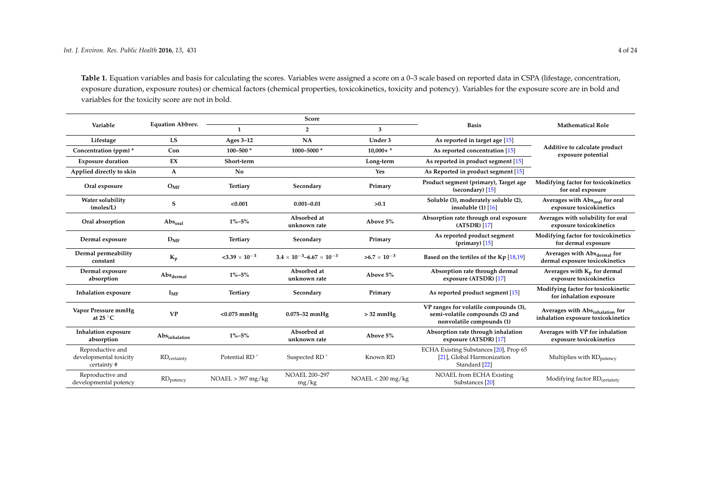**Table 1.** Equation variables and basis for calculating the scores. Variables were assigned a score on a 0–3 scale based on reported data in CSPA (lifestage, concentration, exposure duration, exposure routes) or chemical factors (chemical properties, toxicokinetics, toxicity and potency). Variables for the exposure score are in bold and variables for the toxicity score are not in bold.

|                                                          |                                  | Score                     |                                            |                       |                                                                                                       |                                                                       |
|----------------------------------------------------------|----------------------------------|---------------------------|--------------------------------------------|-----------------------|-------------------------------------------------------------------------------------------------------|-----------------------------------------------------------------------|
| Variable                                                 | <b>Equation Abbrev.</b>          | $\mathbf{1}$              | $\overline{2}$                             | 3                     | <b>Basis</b>                                                                                          | <b>Mathematical Role</b>                                              |
| Lifestage                                                | LS                               | Ages $3-12$               | NA                                         | Under 3               | As reported in target age $[15]$                                                                      |                                                                       |
| Concentration (ppm) *                                    | Con                              | $100 - 500*$              | 1000-5000*                                 | $10,000+$ *           | As reported concentration $[15]$                                                                      | Additive to calculate product<br>exposure potential                   |
| <b>Exposure duration</b>                                 | EX                               | Short-term                |                                            | Long-term             | As reported in product segment [15]                                                                   |                                                                       |
| Applied directly to skin                                 | A                                | No                        |                                            | Yes                   | As Reported in product segment [15]                                                                   |                                                                       |
| Oral exposure                                            | $O_{MF}$                         | Tertiary                  | Secondary                                  | Primary               | Product segment (primary), Target age<br>(secondary) $[15]$                                           | Modifying factor for toxicokinetics<br>for oral exposure              |
| Water solubility<br>(moles/L)                            | S                                | < 0.001                   | $0.001 - 0.01$                             | >0.1                  | Soluble (3), moderately soluble (2),<br>insoluble $(1)$ [16]                                          | Averages with Abs <sub>oral</sub> for oral<br>exposure toxicokinetics |
| Oral absorption                                          | $\mathrm{Abs}_{\mathrm{oral}}$   | $1\% - 5\%$               | Absorbed at<br>unknown rate                | Above 5%              | Absorption rate through oral exposure<br>$(ATSDR)$ [17]                                               | Averages with solubility for oral<br>exposure toxicokinetics          |
| Dermal exposure                                          | $D_{MF}$                         | Tertiary                  | Secondary                                  | Primary               | As reported product segment<br>(primary) $[15]$                                                       | Modifying factor for toxicokinetics<br>for dermal exposure            |
| Dermal permeability<br>constant                          | $K_p$                            | $< 3.39 \times 10^{-3}$   | $3.4 \times 10^{-3} - 6.67 \times 10^{-3}$ | $>6.7 \times 10^{-3}$ | Based on the tertiles of the Kp $[18,19]$                                                             | Averages with Absdermal for<br>dermal exposure toxicokinetics         |
| Dermal exposure<br>absorption                            | $\mathrm{Abs}_{\mathrm{dermal}}$ | $1\% - 5\%$               | Absorbed at<br>unknown rate                | Above 5%              | Absorption rate through dermal<br>exposure (ATSDR) [17]                                               | Averages with $K_p$ for dermal<br>exposure toxicokinetics             |
| <b>Inhalation</b> exposure                               | $I_{MF}$                         | Tertiary                  | Secondary                                  | Primary               | As reported product segment $[15]$                                                                    | Modifying factor for toxicokinetic<br>for inhalation exposure         |
| Vapor Pressure mmHg<br>at 25 $\mathrm{^{\circ}C}$        | <b>VP</b>                        | $<$ 0.075 mmHg            | $0.075 - 32$ mmHg                          | $>$ 32 mmHg           | VP ranges for volatile compounds (3),<br>semi-volatile compounds (2) and<br>nonvolatile compounds (1) | Averages with Absinhalation for<br>inhalation exposure toxicokinetics |
| <b>Inhalation exposure</b><br>absorption                 | AbSinhalation                    | $1\% - 5\%$               | Absorbed at<br>unknown rate                | Above 5%              | Absorption rate through inhalation<br>exposure (ATSDR) [17]                                           | Averages with VP for inhalation<br>exposure toxicokinetics            |
| Reproductive and<br>developmental toxicity<br>certainty# | RD <sub>certainty</sub>          | Potential RD <sup>7</sup> | Suspected RD <sup>^</sup>                  | Known RD              | ECHA Existing Substances [20], Prop 65<br>[21], Global Harmonization<br>Standard [22]                 | Multiplies with RD <sub>potency</sub>                                 |
| Reproductive and<br>developmental potency                | RD <sub>potency</sub>            | NOAEL > 397 mg/kg         | <b>NOAEL 200-297</b><br>mg/kg              | $NOAEL < 200$ mg/kg   | <b>NOAEL from ECHA Existing</b><br>Substances <sup>[20]</sup>                                         | Modifying factor RD <sub>certainty</sub>                              |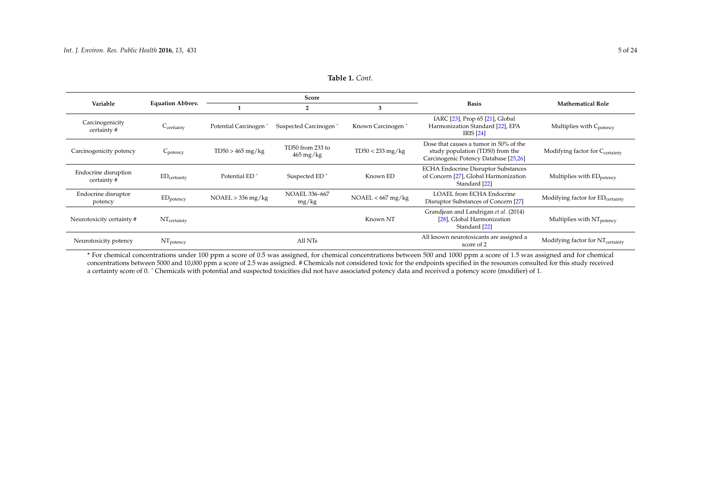<span id="page-4-1"></span>

|                                    |                         |                                   | Score                                      |                    |                                                                                                                     | <b>Mathematical Role</b>                     |  |
|------------------------------------|-------------------------|-----------------------------------|--------------------------------------------|--------------------|---------------------------------------------------------------------------------------------------------------------|----------------------------------------------|--|
| Variable                           | <b>Equation Abbrev.</b> |                                   | 2                                          | 3                  | <b>Basis</b>                                                                                                        |                                              |  |
| Carcinogenicity<br>certainty#      | $C_{\text{certiantv}}$  | Potential Carcinogen <sup>^</sup> | Suspected Carcinogen <sup>^</sup>          | Known Carcinogen ^ | IARC [23], Prop 65 [21], Global<br>Harmonization Standard [22], EPA<br>IRIS [24]                                    | Multiplies with C <sub>potency</sub>         |  |
| Carcinogenicity potency            | C <sub>potency</sub>    | $TD50 > 465$ mg/kg                | TD50 from 233 to<br>$465 \,\mathrm{mg/kg}$ | $TD50 < 233$ mg/kg | Dose that causes a tumor in 50% of the<br>study population (TD50) from the<br>Carcinogenic Potency Database [25,26] | Modifying factor for Ccertainty              |  |
| Endocrine disruption<br>certainty# | $ED_{\text{certianty}}$ | Potential ED <sup>^</sup>         | Suspected ED <sup>^</sup>                  | Known ED           | <b>ECHA Endocrine Disruptor Substances</b><br>of Concern [27], Global Harmonization<br>Standard [22]                | Multiplies with ED <sub>potency</sub>        |  |
| Endocrine disruptor<br>potency     | $ED_{potency}$          | $NOAEL > 336$ mg/kg               | <b>NOAEL 336-667</b><br>mg/kg              | NOAEL < 667 mg/kg  | <b>LOAEL from ECHA Endocrine</b><br>Disruptor Substances of Concern [27]                                            | Modifying factor for ED <sub>certainty</sub> |  |
| Neurotoxicity certainty #          | $NT_{\text{certainty}}$ |                                   |                                            | Known NT           | Grandjean and Landrigan et al. (2014)<br>[28], Global Harmonization<br>Standard [22]                                | Multiplies with NT <sub>potency</sub>        |  |
| Neurotoxicity potency              | $NT_{potency}$          |                                   | All NTs                                    |                    | All known neurotoxicants are assigned a<br>score of 2                                                               | Modifying factor for NT <sub>certainty</sub> |  |

**Table 1.** *Cont.*

<span id="page-4-0"></span>\* For chemical concentrations under 100 ppm a score of 0.5 was assigned, for chemical concentrations between 500 and 1000 ppm a score of 1.5 was assigned and for chemical concentrations between 5000 and 10,000 ppm a score of 2.5 was assigned. # Chemicals not considered toxic for the endpoints specified in the resources consulted for this study received a certainty score of 0.  $\hat{ }$  Chemicals with potential and suspected toxicities did not have associated potency data and received a potency score (modifier) of 1.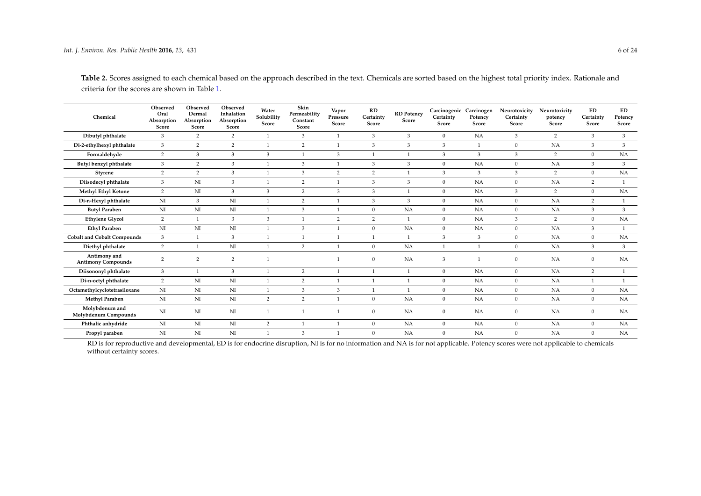| Chemical                                  | Observed<br>Oral<br>Absorption<br>Score | Observed<br>Dermal<br>Absorption<br>Score | Observed<br>Inhalation<br>Absorption<br>Score | Water<br>Solubility<br>Score | Skin<br>Permeability<br>Constant<br>Score | Vapor<br>Pressure<br>Score | RD<br>Certainty<br>Score | <b>RD</b> Potency<br>Score | Carcinogenic Carcinogen<br>Certainty<br>Score | Potency<br>Score | Neurotoxicity<br>Certainty<br>Score | Neurotoxicity<br>potency<br>Score | ED.<br>Certainty<br>Score | ED.<br>Potency<br>Score |
|-------------------------------------------|-----------------------------------------|-------------------------------------------|-----------------------------------------------|------------------------------|-------------------------------------------|----------------------------|--------------------------|----------------------------|-----------------------------------------------|------------------|-------------------------------------|-----------------------------------|---------------------------|-------------------------|
| Dibutyl phthalate                         | $\overline{3}$                          | 2                                         | 2                                             | $\overline{1}$               | 3                                         | $\overline{1}$             | 3                        | 3                          | $\mathbf{0}$                                  | NA               | 3                                   | $\overline{2}$                    | 3                         | 3                       |
| Di-2-ethylhexyl phthalate                 | $\overline{3}$                          | 2                                         | 2                                             | $\overline{1}$               | $\overline{2}$                            | $\overline{1}$             | 3                        | 3                          | 3                                             | $\mathbf{1}$     | $\overline{0}$                      | NA                                | $\mathbf{3}$              | $\mathbf{3}$            |
| Formaldehyde                              | $\overline{2}$                          | 3                                         | 3                                             | 3                            | $\overline{1}$                            | 3                          |                          |                            | 3                                             | 3                | $\mathfrak{Z}$                      | $\overline{2}$                    | $\overline{0}$            | NA                      |
| Butyl benzyl phthalate                    | $\overline{3}$                          | 2                                         | 3                                             | $\mathbf{1}$                 | 3                                         | $\mathbf{1}$               | 3                        | 3                          | $\Omega$                                      | NA               | $\Omega$                            | <b>NA</b>                         | $\mathcal{E}$             | 3                       |
| Styrene                                   | $\overline{2}$                          | 2                                         | 3                                             | $\mathbf{1}$                 | 3                                         | $\overline{2}$             | 2                        |                            | 3                                             | 3                | 3                                   | $\overline{2}$                    | $\Omega$                  | NA                      |
| Diisodecyl phthalate                      | $\overline{3}$                          | NI                                        | 3                                             | $\overline{1}$               | 2                                         | $\mathbf{1}$               | 3                        | 3                          | $\mathbf{0}$                                  | NA               | $\Omega$                            | <b>NA</b>                         | 2                         |                         |
| Methyl Ethyl Ketone                       | 2                                       | NI                                        | 3                                             | 3                            | $\overline{2}$                            | 3                          | 3                        |                            | $\mathbf{0}$                                  | NA               | 3                                   | $\overline{2}$                    | $\Omega$                  | NA                      |
| Di-n-Hexyl phthalate                      | N <sub>I</sub>                          | 3                                         | NI                                            | $\overline{1}$               | $\overline{2}$                            | $\mathbf{1}$               | 3                        | 3                          | $\mathbf{0}$                                  | <b>NA</b>        | $\overline{0}$                      | NA                                | $\overline{2}$            |                         |
| <b>Butyl Paraben</b>                      | NI                                      | NI                                        | NI                                            | $\mathbf{1}$                 | 3                                         | $\mathbf{1}$               | $\mathbf{0}$             | NA                         | $\mathbf{0}$                                  | NA               | $\Omega$                            | NA                                | 3                         | 3                       |
| <b>Ethylene Glycol</b>                    | $\overline{2}$                          | $\mathbf{1}$                              | 3                                             | 3                            | $\mathbf{1}$                              | $\overline{2}$             | 2                        |                            | $\mathbf{0}$                                  | NA               | 3                                   | $\overline{2}$                    | $\Omega$                  | NA                      |
| <b>Ethyl Paraben</b>                      | NI                                      | NI                                        | NI                                            | $\overline{1}$               | 3                                         | $\mathbf{1}$               | $\mathbf{0}$             | NA                         | $\mathbf{0}$                                  | NA               | $\mathbf{0}$                        | NA                                | 3                         |                         |
| <b>Cobalt and Cobalt Compounds</b>        | $\overline{3}$                          | $\mathbf{1}$                              | $\mathfrak{Z}$                                | $\mathbf{1}$                 | $\mathbf{1}$                              | $\overline{1}$             | $\overline{1}$           | $\mathbf{1}$               | 3                                             | $\mathfrak{Z}$   | $\mathbf{0}$                        | NA                                | $\mathbf{0}$              | NA                      |
| Diethyl phthalate                         | $\overline{2}$                          | $\mathbf{1}$                              | NI                                            | $\overline{1}$               | $\overline{2}$                            | $\overline{1}$             | $\mathbf{0}$             | NA                         | $\overline{1}$                                |                  | $\Omega$                            | NA                                | 3                         | $\mathbf{3}$            |
| Antimony and<br><b>Antimony Compounds</b> | 2                                       | 2                                         | 2                                             | $\mathbf{1}$                 |                                           |                            | $\mathbf{0}$             | <b>NA</b>                  | 3                                             |                  | $\mathbf{0}$                        | NA                                | $\Omega$                  | NA                      |
| Diisononyl phthalate                      | 3 <sup>1</sup>                          | $\mathbf{1}$                              | 3                                             | $\overline{1}$               | $\overline{2}$                            | $\overline{1}$             |                          |                            | $\mathbf{0}$                                  | NA               | $\overline{0}$                      | NA                                | $\overline{2}$            |                         |
| Di-n-octyl phthalate                      | $\overline{2}$                          | NI                                        | NI                                            | 1                            | $\overline{2}$                            | $\overline{1}$             | $\mathbf{1}$             | $\mathbf{1}$               | $\mathbf{0}$                                  | NA               | $\overline{0}$                      | <b>NA</b>                         | $\mathbf{1}$              |                         |
| Octamethylcyclotetrasiloxane              | NI                                      | NI                                        | NI                                            | 1                            | 3                                         | 3                          | $\mathbf{1}$             |                            | $\mathbf{0}$                                  | NA               | $\overline{0}$                      | NA                                | $\Omega$                  | NA                      |
| <b>Methyl Paraben</b>                     | NI                                      | NI                                        | NI                                            | 2                            | 2                                         | $\mathbf{1}$               | $\mathbf{0}$             | <b>NA</b>                  | $\Omega$                                      | NA               | $\Omega$                            | NA                                | $\Omega$                  | NA                      |
| Molybdenum and<br>Molybdenum Compounds    | NI                                      | NI                                        | NI                                            |                              |                                           |                            | $\mathbf{0}$             | <b>NA</b>                  | $\mathbf{0}$                                  | NA               | $\Omega$                            | <b>NA</b>                         | $\Omega$                  | <b>NA</b>               |
| Phthalic anhydride                        | N <sub>I</sub>                          | NI                                        | NI                                            | 2                            | $\mathbf{1}$                              | $\overline{1}$             | $\mathbf{0}$             | <b>NA</b>                  | $\mathbf{0}$                                  | <b>NA</b>        | $\Omega$                            | <b>NA</b>                         | $\Omega$                  | <b>NA</b>               |
| Propyl paraben                            | NI                                      | NI                                        | NI                                            | $\mathbf{1}$                 | 3                                         |                            | $\mathbf{0}$             | NA                         | $\mathbf{0}$                                  | NA               | $\Omega$                            | NA                                | $\mathbf{0}$              | NA                      |

**Table 2.** Scores assigned to each chemical based on the approach described in the text. Chemicals are sorted based on the highest total priority index. Rationale and criteria for the scores are shown in Table [1.](#page-4-1)

<span id="page-5-0"></span>RD is for reproductive and developmental, ED is for endocrine disruption, NI is for no information and NA is for not applicable. Potency scores were not applicable to chemicals without certainty scores.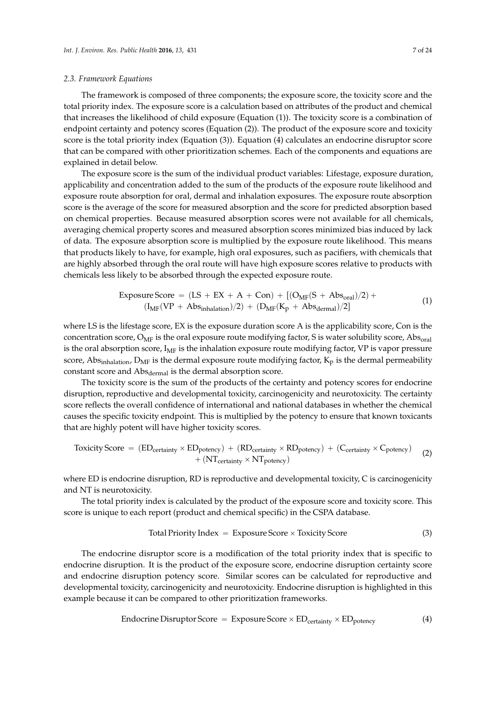#### *2.3. Framework Equations*

The framework is composed of three components; the exposure score, the toxicity score and the total priority index. The exposure score is a calculation based on attributes of the product and chemical that increases the likelihood of child exposure (Equation (1)). The toxicity score is a combination of endpoint certainty and potency scores (Equation (2)). The product of the exposure score and toxicity score is the total priority index (Equation (3)). Equation (4) calculates an endocrine disruptor score that can be compared with other prioritization schemes. Each of the components and equations are explained in detail below.

The exposure score is the sum of the individual product variables: Lifestage, exposure duration, applicability and concentration added to the sum of the products of the exposure route likelihood and exposure route absorption for oral, dermal and inhalation exposures. The exposure route absorption score is the average of the score for measured absorption and the score for predicted absorption based on chemical properties. Because measured absorption scores were not available for all chemicals, averaging chemical property scores and measured absorption scores minimized bias induced by lack of data. The exposure absorption score is multiplied by the exposure route likelihood. This means that products likely to have, for example, high oral exposures, such as pacifiers, with chemicals that are highly absorbed through the oral route will have high exposure scores relative to products with chemicals less likely to be absorbed through the expected exposure route.

$$
\begin{aligned} \text{Exposure Score} &= (\text{LS} + \text{EX} + \text{A} + \text{Con}) + [(\text{O}_{\text{MF}}(\text{S} + \text{Abs}_{\text{oral}})/2) + \\ & (\text{I}_{\text{MF}}(\text{VP} + \text{Abs}_{\text{inhalation}})/2) + (\text{D}_{\text{MF}}(\text{K}_{p} + \text{Abs}_{\text{dermal}})/2] \end{aligned} \tag{1}
$$

where LS is the lifestage score, EX is the exposure duration score A is the applicability score, Con is the concentration score,  $O_{MF}$  is the oral exposure route modifying factor, S is water solubility score, Abs<sub>oral</sub> is the oral absorption score,  $I_{MF}$  is the inhalation exposure route modifying factor, VP is vapor pressure score, Abs<sub>inhalation</sub>,  $D_{MF}$  is the dermal exposure route modifying factor,  $K_p$  is the dermal permeability constant score and Abs<sub>dermal</sub> is the dermal absorption score.

The toxicity score is the sum of the products of the certainty and potency scores for endocrine disruption, reproductive and developmental toxicity, carcinogenicity and neurotoxicity. The certainty score reflects the overall confidence of international and national databases in whether the chemical causes the specific toxicity endpoint. This is multiplied by the potency to ensure that known toxicants that are highly potent will have higher toxicity scores.

Toxicity Score = 
$$
(ED_{certainty} \times ED_{potency}) + (RD_{certainty} \times RD_{potency}) + (C_{certainty} \times C_{potency})
$$
  
+  $(NT_{certainty} \times NT_{potency})$  (2)

where ED is endocrine disruption, RD is reproductive and developmental toxicity, C is carcinogenicity and NT is neurotoxicity.

The total priority index is calculated by the product of the exposure score and toxicity score. This score is unique to each report (product and chemical specific) in the CSPA database.

$$
Total Priority Index = Exposure Score \times Toxicity Score
$$
 (3)

The endocrine disruptor score is a modification of the total priority index that is specific to endocrine disruption. It is the product of the exposure score, endocrine disruption certainty score and endocrine disruption potency score. Similar scores can be calculated for reproductive and developmental toxicity, carcinogenicity and neurotoxicity. Endocrine disruption is highlighted in this example because it can be compared to other prioritization frameworks.

Endocrine Disruptor Score = 
$$
Exposure Score \times ED_{certainty} \times ED_{potency}
$$
 (4)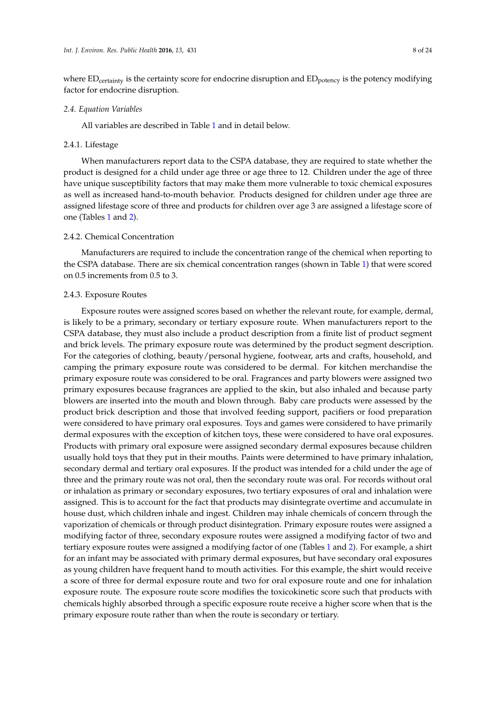where  $ED_{\text{certainty}}$  is the certainty score for endocrine disruption and  $ED_{\text{potency}}$  is the potency modifying factor for endocrine disruption.

#### *2.4. Equation Variables*

All variables are described in Table [1](#page-4-0) and in detail below.

#### 2.4.1. Lifestage

When manufacturers report data to the CSPA database, they are required to state whether the product is designed for a child under age three or age three to 12. Children under the age of three have unique susceptibility factors that may make them more vulnerable to toxic chemical exposures as well as increased hand-to-mouth behavior. Products designed for children under age three are assigned lifestage score of three and products for children over age 3 are assigned a lifestage score of one (Tables [1](#page-4-0) and [2\)](#page-5-0).

# 2.4.2. Chemical Concentration

Manufacturers are required to include the concentration range of the chemical when reporting to the CSPA database. There are six chemical concentration ranges (shown in Table [1\)](#page-4-0) that were scored on 0.5 increments from 0.5 to 3.

# 2.4.3. Exposure Routes

Exposure routes were assigned scores based on whether the relevant route, for example, dermal, is likely to be a primary, secondary or tertiary exposure route. When manufacturers report to the CSPA database, they must also include a product description from a finite list of product segment and brick levels. The primary exposure route was determined by the product segment description. For the categories of clothing, beauty/personal hygiene, footwear, arts and crafts, household, and camping the primary exposure route was considered to be dermal. For kitchen merchandise the primary exposure route was considered to be oral. Fragrances and party blowers were assigned two primary exposures because fragrances are applied to the skin, but also inhaled and because party blowers are inserted into the mouth and blown through. Baby care products were assessed by the product brick description and those that involved feeding support, pacifiers or food preparation were considered to have primary oral exposures. Toys and games were considered to have primarily dermal exposures with the exception of kitchen toys, these were considered to have oral exposures. Products with primary oral exposure were assigned secondary dermal exposures because children usually hold toys that they put in their mouths. Paints were determined to have primary inhalation, secondary dermal and tertiary oral exposures. If the product was intended for a child under the age of three and the primary route was not oral, then the secondary route was oral. For records without oral or inhalation as primary or secondary exposures, two tertiary exposures of oral and inhalation were assigned. This is to account for the fact that products may disintegrate overtime and accumulate in house dust, which children inhale and ingest. Children may inhale chemicals of concern through the vaporization of chemicals or through product disintegration. Primary exposure routes were assigned a modifying factor of three, secondary exposure routes were assigned a modifying factor of two and tertiary exposure routes were assigned a modifying factor of one (Tables [1](#page-4-0) and [2\)](#page-5-0). For example, a shirt for an infant may be associated with primary dermal exposures, but have secondary oral exposures as young children have frequent hand to mouth activities. For this example, the shirt would receive a score of three for dermal exposure route and two for oral exposure route and one for inhalation exposure route. The exposure route score modifies the toxicokinetic score such that products with chemicals highly absorbed through a specific exposure route receive a higher score when that is the primary exposure route rather than when the route is secondary or tertiary.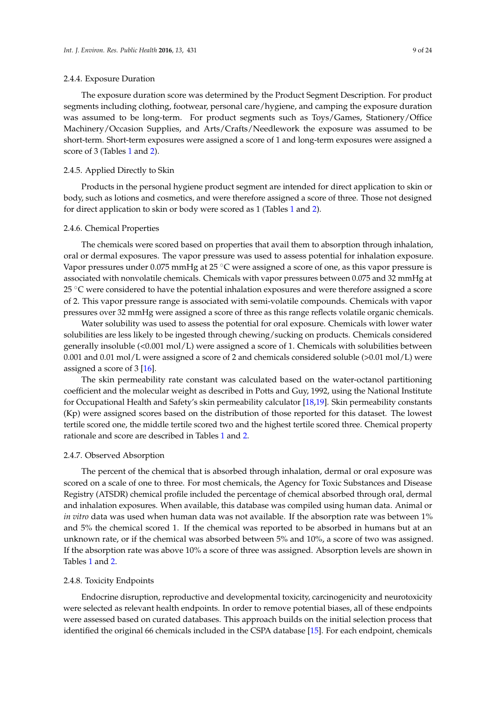#### 2.4.4. Exposure Duration

The exposure duration score was determined by the Product Segment Description. For product segments including clothing, footwear, personal care/hygiene, and camping the exposure duration was assumed to be long-term. For product segments such as Toys/Games, Stationery/Office Machinery/Occasion Supplies, and Arts/Crafts/Needlework the exposure was assumed to be short-term. Short-term exposures were assigned a score of 1 and long-term exposures were assigned a score of 3 (Tables [1](#page-4-0) and [2\)](#page-5-0).

# 2.4.5. Applied Directly to Skin

Products in the personal hygiene product segment are intended for direct application to skin or body, such as lotions and cosmetics, and were therefore assigned a score of three. Those not designed for direct application to skin or body were scored as 1 (Tables [1](#page-4-0) and [2\)](#page-5-0).

#### 2.4.6. Chemical Properties

The chemicals were scored based on properties that avail them to absorption through inhalation, oral or dermal exposures. The vapor pressure was used to assess potential for inhalation exposure. Vapor pressures under 0.075 mmHg at 25  $\degree$ C were assigned a score of one, as this vapor pressure is associated with nonvolatile chemicals. Chemicals with vapor pressures between 0.075 and 32 mmHg at 25  $\degree$ C were considered to have the potential inhalation exposures and were therefore assigned a score of 2. This vapor pressure range is associated with semi-volatile compounds. Chemicals with vapor pressures over 32 mmHg were assigned a score of three as this range reflects volatile organic chemicals.

Water solubility was used to assess the potential for oral exposure. Chemicals with lower water solubilities are less likely to be ingested through chewing/sucking on products. Chemicals considered generally insoluble  $\langle$ <0.001 mol $\langle$ L) were assigned a score of 1. Chemicals with solubilities between 0.001 and 0.01 mol/L were assigned a score of 2 and chemicals considered soluble (>0.01 mol/L) were assigned a score of 3 [\[16\]](#page-21-18).

The skin permeability rate constant was calculated based on the water-octanol partitioning coefficient and the molecular weight as described in Potts and Guy, 1992, using the National Institute for Occupational Health and Safety's skin permeability calculator [\[18](#page-21-19)[,19\]](#page-22-10). Skin permeability constants (Kp) were assigned scores based on the distribution of those reported for this dataset. The lowest tertile scored one, the middle tertile scored two and the highest tertile scored three. Chemical property rationale and score are described in Tables [1](#page-4-0) and [2.](#page-5-0)

#### 2.4.7. Observed Absorption

The percent of the chemical that is absorbed through inhalation, dermal or oral exposure was scored on a scale of one to three. For most chemicals, the Agency for Toxic Substances and Disease Registry (ATSDR) chemical profile included the percentage of chemical absorbed through oral, dermal and inhalation exposures. When available, this database was compiled using human data. Animal or *in vitro* data was used when human data was not available. If the absorption rate was between 1% and 5% the chemical scored 1. If the chemical was reported to be absorbed in humans but at an unknown rate, or if the chemical was absorbed between 5% and 10%, a score of two was assigned. If the absorption rate was above 10% a score of three was assigned. Absorption levels are shown in Tables [1](#page-4-0) and [2.](#page-5-0)

#### 2.4.8. Toxicity Endpoints

Endocrine disruption, reproductive and developmental toxicity, carcinogenicity and neurotoxicity were selected as relevant health endpoints. In order to remove potential biases, all of these endpoints were assessed based on curated databases. This approach builds on the initial selection process that identified the original 66 chemicals included in the CSPA database [\[15\]](#page-21-13). For each endpoint, chemicals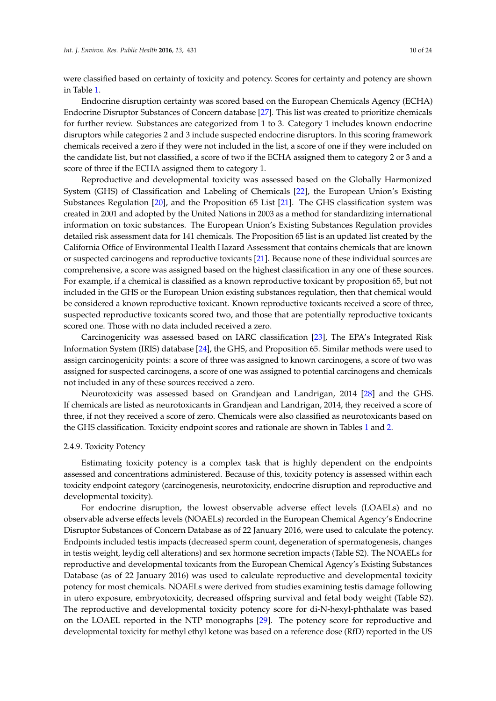were classified based on certainty of toxicity and potency. Scores for certainty and potency are shown in Table [1.](#page-4-0)

Endocrine disruption certainty was scored based on the European Chemicals Agency (ECHA) Endocrine Disruptor Substances of Concern database [\[27\]](#page-22-11). This list was created to prioritize chemicals for further review. Substances are categorized from 1 to 3. Category 1 includes known endocrine disruptors while categories 2 and 3 include suspected endocrine disruptors. In this scoring framework chemicals received a zero if they were not included in the list, a score of one if they were included on the candidate list, but not classified, a score of two if the ECHA assigned them to category 2 or 3 and a score of three if the ECHA assigned them to category 1.

Reproductive and developmental toxicity was assessed based on the Globally Harmonized System (GHS) of Classification and Labeling of Chemicals [\[22\]](#page-22-12), the European Union's Existing Substances Regulation [\[20\]](#page-22-13), and the Proposition 65 List [\[21\]](#page-22-14). The GHS classification system was created in 2001 and adopted by the United Nations in 2003 as a method for standardizing international information on toxic substances. The European Union's Existing Substances Regulation provides detailed risk assessment data for 141 chemicals. The Proposition 65 list is an updated list created by the California Office of Environmental Health Hazard Assessment that contains chemicals that are known or suspected carcinogens and reproductive toxicants [\[21\]](#page-22-14). Because none of these individual sources are comprehensive, a score was assigned based on the highest classification in any one of these sources. For example, if a chemical is classified as a known reproductive toxicant by proposition 65, but not included in the GHS or the European Union existing substances regulation, then that chemical would be considered a known reproductive toxicant. Known reproductive toxicants received a score of three, suspected reproductive toxicants scored two, and those that are potentially reproductive toxicants scored one. Those with no data included received a zero.

Carcinogenicity was assessed based on IARC classification [\[23\]](#page-22-15), The EPA's Integrated Risk Information System (IRIS) database [\[24\]](#page-22-16), the GHS, and Proposition 65. Similar methods were used to assign carcinogenicity points: a score of three was assigned to known carcinogens, a score of two was assigned for suspected carcinogens, a score of one was assigned to potential carcinogens and chemicals not included in any of these sources received a zero.

Neurotoxicity was assessed based on Grandjean and Landrigan, 2014 [\[28\]](#page-22-17) and the GHS. If chemicals are listed as neurotoxicants in Grandjean and Landrigan, 2014, they received a score of three, if not they received a score of zero. Chemicals were also classified as neurotoxicants based on the GHS classification. Toxicity endpoint scores and rationale are shown in Tables [1](#page-4-0) and [2.](#page-5-0)

#### 2.4.9. Toxicity Potency

Estimating toxicity potency is a complex task that is highly dependent on the endpoints assessed and concentrations administered. Because of this, toxicity potency is assessed within each toxicity endpoint category (carcinogenesis, neurotoxicity, endocrine disruption and reproductive and developmental toxicity).

For endocrine disruption, the lowest observable adverse effect levels (LOAELs) and no observable adverse effects levels (NOAELs) recorded in the European Chemical Agency's Endocrine Disruptor Substances of Concern Database as of 22 January 2016, were used to calculate the potency. Endpoints included testis impacts (decreased sperm count, degeneration of spermatogenesis, changes in testis weight, leydig cell alterations) and sex hormone secretion impacts (Table S2). The NOAELs for reproductive and developmental toxicants from the European Chemical Agency's Existing Substances Database (as of 22 January 2016) was used to calculate reproductive and developmental toxicity potency for most chemicals. NOAELs were derived from studies examining testis damage following in utero exposure, embryotoxicity, decreased offspring survival and fetal body weight (Table S2). The reproductive and developmental toxicity potency score for di-N-hexyl-phthalate was based on the LOAEL reported in the NTP monographs [\[29\]](#page-22-18). The potency score for reproductive and developmental toxicity for methyl ethyl ketone was based on a reference dose (RfD) reported in the US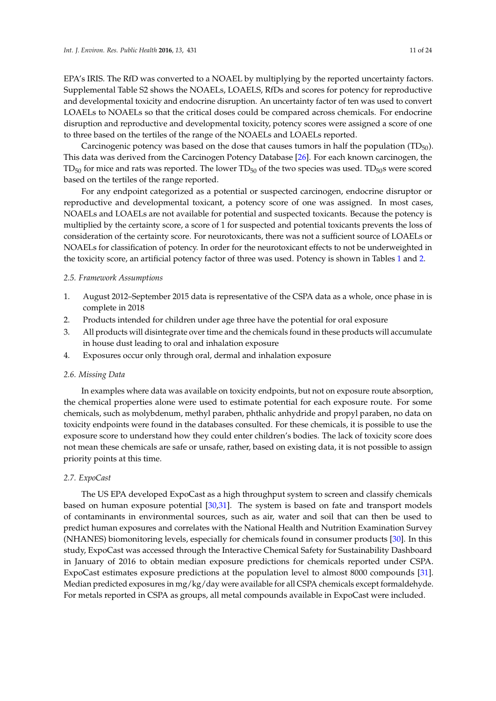EPA's IRIS. The RfD was converted to a NOAEL by multiplying by the reported uncertainty factors. Supplemental Table S2 shows the NOAELs, LOAELS, RfDs and scores for potency for reproductive and developmental toxicity and endocrine disruption. An uncertainty factor of ten was used to convert LOAELs to NOAELs so that the critical doses could be compared across chemicals. For endocrine disruption and reproductive and developmental toxicity, potency scores were assigned a score of one to three based on the tertiles of the range of the NOAELs and LOAELs reported.

Carcinogenic potency was based on the dose that causes tumors in half the population  $(TD_{50})$ . This data was derived from the Carcinogen Potency Database [\[26\]](#page-22-19). For each known carcinogen, the  $TD_{50}$  for mice and rats was reported. The lower  $TD_{50}$  of the two species was used.  $TD_{50}$ s were scored based on the tertiles of the range reported.

For any endpoint categorized as a potential or suspected carcinogen, endocrine disruptor or reproductive and developmental toxicant, a potency score of one was assigned. In most cases, NOAELs and LOAELs are not available for potential and suspected toxicants. Because the potency is multiplied by the certainty score, a score of 1 for suspected and potential toxicants prevents the loss of consideration of the certainty score. For neurotoxicants, there was not a sufficient source of LOAELs or NOAELs for classification of potency. In order for the neurotoxicant effects to not be underweighted in the toxicity score, an artificial potency factor of three was used. Potency is shown in Tables [1](#page-4-0) and [2.](#page-5-0)

#### *2.5. Framework Assumptions*

- 1. August 2012–September 2015 data is representative of the CSPA data as a whole, once phase in is complete in 2018
- 2. Products intended for children under age three have the potential for oral exposure
- 3. All products will disintegrate over time and the chemicals found in these products will accumulate in house dust leading to oral and inhalation exposure
- 4. Exposures occur only through oral, dermal and inhalation exposure

#### *2.6. Missing Data*

In examples where data was available on toxicity endpoints, but not on exposure route absorption, the chemical properties alone were used to estimate potential for each exposure route. For some chemicals, such as molybdenum, methyl paraben, phthalic anhydride and propyl paraben, no data on toxicity endpoints were found in the databases consulted. For these chemicals, it is possible to use the exposure score to understand how they could enter children's bodies. The lack of toxicity score does not mean these chemicals are safe or unsafe, rather, based on existing data, it is not possible to assign priority points at this time.

# *2.7. ExpoCast*

The US EPA developed ExpoCast as a high throughput system to screen and classify chemicals based on human exposure potential [\[30,](#page-22-20)[31\]](#page-22-21). The system is based on fate and transport models of contaminants in environmental sources, such as air, water and soil that can then be used to predict human exposures and correlates with the National Health and Nutrition Examination Survey (NHANES) biomonitoring levels, especially for chemicals found in consumer products [\[30\]](#page-22-20). In this study, ExpoCast was accessed through the Interactive Chemical Safety for Sustainability Dashboard in January of 2016 to obtain median exposure predictions for chemicals reported under CSPA. ExpoCast estimates exposure predictions at the population level to almost 8000 compounds [\[31\]](#page-22-21). Median predicted exposures in mg/kg/day were available for all CSPA chemicals except formaldehyde. For metals reported in CSPA as groups, all metal compounds available in ExpoCast were included.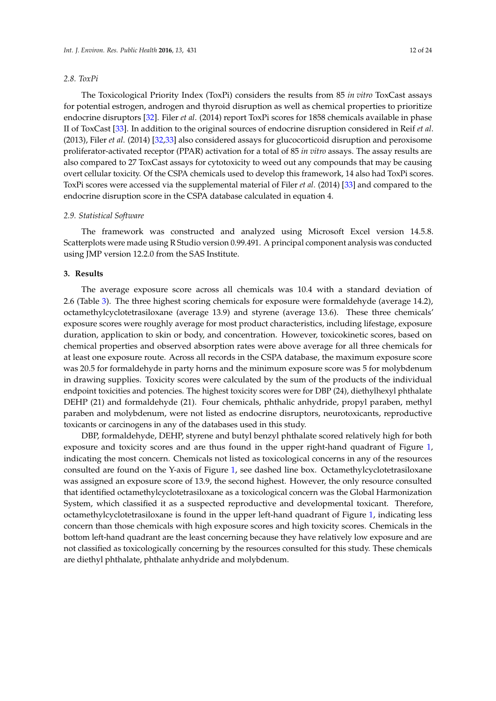#### *2.8. ToxPi*

The Toxicological Priority Index (ToxPi) considers the results from 85 *in vitro* ToxCast assays for potential estrogen, androgen and thyroid disruption as well as chemical properties to prioritize endocrine disruptors [\[32\]](#page-22-22). Filer *et al*. (2014) report ToxPi scores for 1858 chemicals available in phase II of ToxCast [\[33\]](#page-22-23). In addition to the original sources of endocrine disruption considered in Reif *et al*. (2013), Filer *et al*. (2014) [\[32](#page-22-22)[,33\]](#page-22-23) also considered assays for glucocorticoid disruption and peroxisome proliferator-activated receptor (PPAR) activation for a total of 85 *in vitro* assays. The assay results are also compared to 27 ToxCast assays for cytotoxicity to weed out any compounds that may be causing overt cellular toxicity. Of the CSPA chemicals used to develop this framework, 14 also had ToxPi scores. ToxPi scores were accessed via the supplemental material of Filer *et al*. (2014) [\[33\]](#page-22-23) and compared to the endocrine disruption score in the CSPA database calculated in equation 4.

#### *2.9. Statistical Software*

The framework was constructed and analyzed using Microsoft Excel version 14.5.8. Scatterplots were made using R Studio version 0.99.491. A principal component analysis was conducted using JMP version 12.2.0 from the SAS Institute.

# **3. Results**

The average exposure score across all chemicals was 10.4 with a standard deviation of 2.6 (Table [3\)](#page-12-0). The three highest scoring chemicals for exposure were formaldehyde (average 14.2), octamethylcyclotetrasiloxane (average 13.9) and styrene (average 13.6). These three chemicals' exposure scores were roughly average for most product characteristics, including lifestage, exposure duration, application to skin or body, and concentration. However, toxicokinetic scores, based on chemical properties and observed absorption rates were above average for all three chemicals for at least one exposure route. Across all records in the CSPA database, the maximum exposure score was 20.5 for formaldehyde in party horns and the minimum exposure score was 5 for molybdenum in drawing supplies. Toxicity scores were calculated by the sum of the products of the individual endpoint toxicities and potencies. The highest toxicity scores were for DBP (24), diethylhexyl phthalate DEHP (21) and formaldehyde (21). Four chemicals, phthalic anhydride, propyl paraben, methyl paraben and molybdenum, were not listed as endocrine disruptors, neurotoxicants, reproductive toxicants or carcinogens in any of the databases used in this study.

DBP, formaldehyde, DEHP, styrene and butyl benzyl phthalate scored relatively high for both exposure and toxicity scores and are thus found in the upper right-hand quadrant of Figure [1,](#page-12-1) indicating the most concern. Chemicals not listed as toxicological concerns in any of the resources consulted are found on the Y-axis of Figure [1,](#page-12-1) see dashed line box. Octamethylcyclotetrasiloxane was assigned an exposure score of 13.9, the second highest. However, the only resource consulted that identified octamethylcyclotetrasiloxane as a toxicological concern was the Global Harmonization System, which classified it as a suspected reproductive and developmental toxicant. Therefore, octamethylcyclotetrasiloxane is found in the upper left-hand quadrant of Figure [1,](#page-12-1) indicating less concern than those chemicals with high exposure scores and high toxicity scores. Chemicals in the bottom left-hand quadrant are the least concerning because they have relatively low exposure and are not classified as toxicologically concerning by the resources consulted for this study. These chemicals are diethyl phthalate, phthalate anhydride and molybdenum.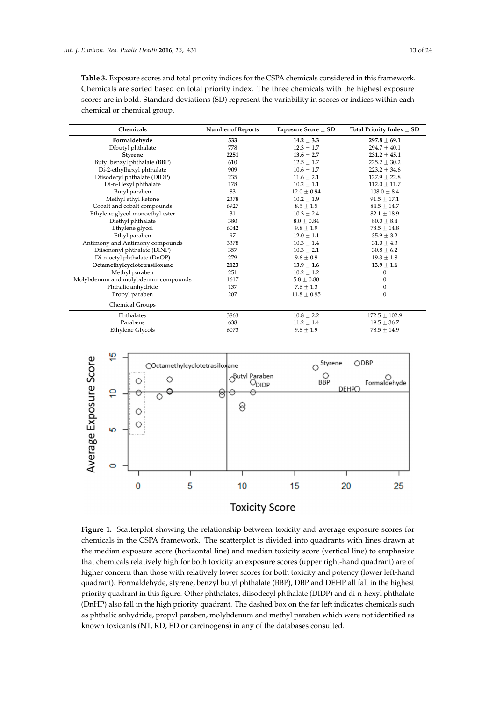<span id="page-12-0"></span>**Table 3.** Exposure scores and total priority indices for the CSPA chemicals considered in this framework. Chemicals are sorted based on total priority index. The three chemicals with the highest exposure scores are in bold. Standard deviations (SD) represent the variability in scores or indices within each chemical or chemical group.

| Chemicals                           | <b>Number of Reports</b> | Exposure Score $\pm$ SD | Total Priority Index $\pm$ SD |
|-------------------------------------|--------------------------|-------------------------|-------------------------------|
| Formaldehyde                        | 533                      | $14.2 \pm 3.3$          | $297.8 \pm 69.1$              |
| Dibutyl phthalate                   | 778                      | $12.3 \pm 1.7$          | $294.7 \pm 40.1$              |
| <b>Styrene</b>                      | 2251                     | $13.6 \pm 2.7$          | $231.2 \pm 45.1$              |
| Butyl benzyl phthalate (BBP)        | 610                      | $12.5 \pm 1.7$          | $225.2 \pm 30.2$              |
| Di-2-ethylhexyl phthalate           | 909                      | $10.6 \pm 1.7$          | $223.2 \pm 34.6$              |
| Diisodecyl phthalate (DIDP)         | 235                      | $11.6 \pm 2.1$          | $127.9 \pm 22.8$              |
| Di-n-Hexyl phthalate                | 178                      | $10.2 \pm 1.1$          | $112.0 \pm 11.7$              |
| Butyl paraben                       | 83                       | $12.0 \pm 0.94$         | $108.0 \pm 8.4$               |
| Methyl ethyl ketone                 | 2378                     | $10.2 \pm 1.9$          | $91.5 \pm 17.1$               |
| Cobalt and cobalt compounds         | 6927                     | $8.5 \pm 1.5$           | $84.5 \pm 14.7$               |
| Ethylene glycol monoethyl ester     | 31                       | $10.3 \pm 2.4$          | $82.1 \pm 18.9$               |
| Diethyl phthalate                   | 380                      | $8.0 + 0.84$            | $80.0 \pm 8.4$                |
| Ethylene glycol                     | 6042                     | $9.8 \pm 1.9$           | $78.5 \pm 14.8$               |
| Ethyl paraben                       | 97                       | $12.0 \pm 1.1$          | $35.9 \pm 3.2$                |
| Antimony and Antimony compounds     | 3378                     | $10.3 \pm 1.4$          | $31.0 \pm 4.3$                |
| Diisononyl phthalate (DINP)         | 357                      | $10.3 \pm 2.1$          | $30.8 \pm 6.2$                |
| Di-n-octyl phthalate (DnOP)         | 279                      | $9.6 \pm 0.9$           | $19.3 \pm 1.8$                |
| Octamethylcyclotetrasiloxane        | 2123                     | $13.9 \pm 1.6$          | $13.9 \pm 1.6$                |
| Methyl paraben                      | 251                      | $10.2 \pm 1.2$          | $\mathbf{0}$                  |
| Molybdenum and molybdenum compounds | 1617                     | $5.8 \pm 0.80$          | 0                             |
| Phthalic anhydride                  | 137                      | $7.6 \pm 1.3$           | $\boldsymbol{0}$              |
| Propyl paraben                      | 207                      | $11.8 \pm 0.95$         | $\mathbf{0}$                  |
| Chemical Groups                     |                          |                         |                               |
| Phthalates                          | 3863                     | $10.8 \pm 2.2$          | $172.5 \pm 102.9$             |
| Parabens                            | 638                      | $11.2 \pm 1.4$          | $19.5 \pm 36.7$               |
| Ethylene Glycols                    | 6073                     | $9.8 \pm 1.9$           | $78.5 \pm 14.9$               |

<span id="page-12-1"></span>

Figure 1. Scatterplot showing the relationship between toxicity and average exposure scores for chemicals in the CSPA framework. The scatterplot is divided into quadrants with lines drawn at the median exposure score (horizontal line) and median toxicity score (vertical line) to emphasize that chemicals relatively high for both toxicity an exposure scores (upper right-hand quadrant) are of higher concern than those with relatively lower scores for both toxicity and potency (lower left-hand quadrant). Formaldehyde, styrene, benzyl butyl phthalate (BBP), DBP and DEHP all fall in the highest priority quadrant in this figure. Other phthalates, diisodecyl phthalate (DIDP) and di-n-hexyl phthalate (DnHP) also fall in the high priority quadrant. The dashed box on the far left indicates chemicals such as phthalic anhydride, propyl paraben, molybdenum and methyl paraben which were not identified as known toxicants (NT, RD, ED or carcinogens) in any of the databases consulted.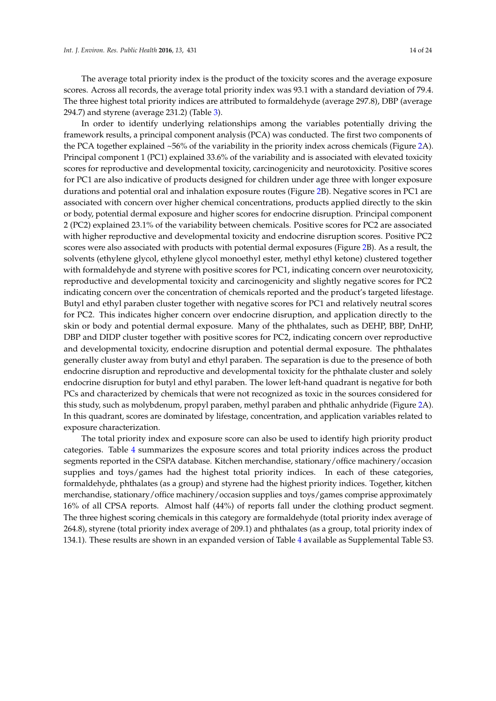The average total priority index is the product of the toxicity scores and the average exposure scores. Across all records, the average total priority index was 93.1 with a standard deviation of 79.4. The three highest total priority indices are attributed to formaldehyde (average 297.8), DBP (average 294.7) and styrene (average 231.2) (Table [3\)](#page-12-0).

In order to identify underlying relationships among the variables potentially driving the framework results, a principal component analysis (PCA) was conducted. The first two components of the PCA together explained ~56% of the variability in the priority index across chemicals (Figure [2A](#page-14-0)). Principal component 1 (PC1) explained 33.6% of the variability and is associated with elevated toxicity scores for reproductive and developmental toxicity, carcinogenicity and neurotoxicity. Positive scores for PC1 are also indicative of products designed for children under age three with longer exposure durations and potential oral and inhalation exposure routes (Figure [2B](#page-14-0)). Negative scores in PC1 are associated with concern over higher chemical concentrations, products applied directly to the skin or body, potential dermal exposure and higher scores for endocrine disruption. Principal component 2 (PC2) explained 23.1% of the variability between chemicals. Positive scores for PC2 are associated with higher reproductive and developmental toxicity and endocrine disruption scores. Positive PC2 scores were also associated with products with potential dermal exposures (Figure [2B](#page-14-0)). As a result, the solvents (ethylene glycol, ethylene glycol monoethyl ester, methyl ethyl ketone) clustered together with formaldehyde and styrene with positive scores for PC1, indicating concern over neurotoxicity, reproductive and developmental toxicity and carcinogenicity and slightly negative scores for PC2 indicating concern over the concentration of chemicals reported and the product's targeted lifestage. Butyl and ethyl paraben cluster together with negative scores for PC1 and relatively neutral scores for PC2. This indicates higher concern over endocrine disruption, and application directly to the skin or body and potential dermal exposure. Many of the phthalates, such as DEHP, BBP, DnHP, DBP and DIDP cluster together with positive scores for PC2, indicating concern over reproductive and developmental toxicity, endocrine disruption and potential dermal exposure. The phthalates generally cluster away from butyl and ethyl paraben. The separation is due to the presence of both endocrine disruption and reproductive and developmental toxicity for the phthalate cluster and solely endocrine disruption for butyl and ethyl paraben. The lower left-hand quadrant is negative for both PCs and characterized by chemicals that were not recognized as toxic in the sources considered for this study, such as molybdenum, propyl paraben, methyl paraben and phthalic anhydride (Figure [2A](#page-14-0)). In this quadrant, scores are dominated by lifestage, concentration, and application variables related to exposure characterization.

The total priority index and exposure score can also be used to identify high priority product categories. Table [4](#page-15-0) summarizes the exposure scores and total priority indices across the product segments reported in the CSPA database. Kitchen merchandise, stationary/office machinery/occasion supplies and toys/games had the highest total priority indices. In each of these categories, formaldehyde, phthalates (as a group) and styrene had the highest priority indices. Together, kitchen merchandise, stationary/office machinery/occasion supplies and toys/games comprise approximately 16% of all CPSA reports. Almost half (44%) of reports fall under the clothing product segment. The three highest scoring chemicals in this category are formaldehyde (total priority index average of 264.8), styrene (total priority index average of 209.1) and phthalates (as a group, total priority index of 134.1). These results are shown in an expanded version of Table [4](#page-15-0) available as Supplemental Table S3.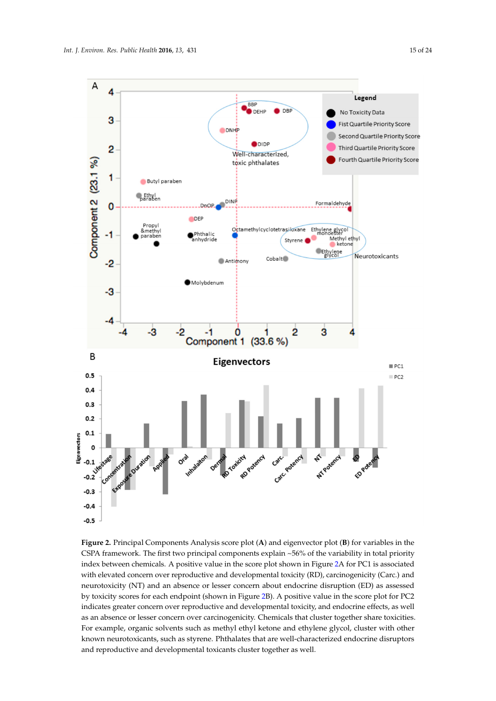<span id="page-14-0"></span>

Figure 2. Principal Components Analysis score plot (A) and eigenvector plot (B) for variables in the CSPA framework. The first two principal components explain ~56% of the variability in total priority index between chemicals. A positive value in the score plot shown in Figure [2A](#page-14-0) for PC1 is associated with elevated concern over reproductive and developmental toxicity (RD), carcinogenicity (Carc.) and neurotoxicity (NT) and an absence or lesser concern about endocrine disruption (ED) as assessed by toxicity scores for each endpoint (shown in Figure [2B](#page-14-0)). A positive value in the score plot for PC2 indicates greater concern over reproductive and developmental toxicity, and endocrine effects, as well as an absence or lesser concern over carcinogenicity. Chemicals that cluster together share toxicities. For example, organic solvents such as methyl ethyl ketone and ethylene glycol, cluster with other known neurotoxicants, such as styrene. Phthalates that are well-characterized endocrine disruptors and reproductive and developmental toxicants cluster together as well.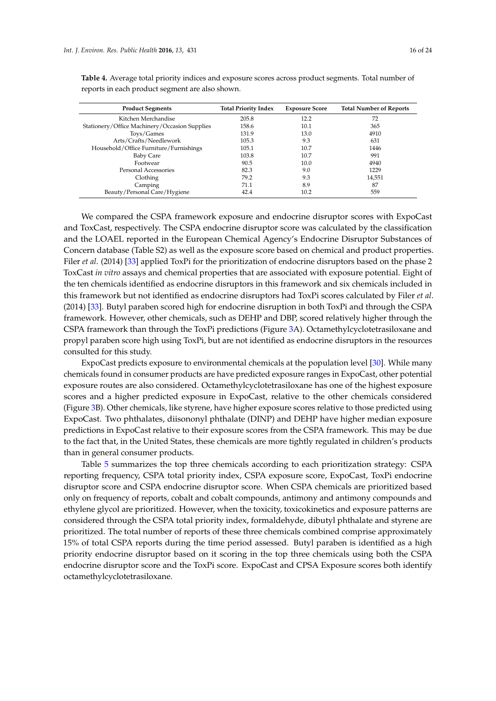| <b>Product Segments</b>                       | <b>Total Priority Index</b> | <b>Exposure Score</b> | <b>Total Number of Reports</b> |
|-----------------------------------------------|-----------------------------|-----------------------|--------------------------------|
| Kitchen Merchandise                           | 205.8                       | 12.2                  | 72                             |
| Stationery/Office Machinery/Occasion Supplies | 158.6                       | 10.1                  | 365                            |
| Toys/Games                                    | 131.9                       | 13.0                  | 4910                           |
| Arts/Crafts/Needlework                        | 105.3                       | 9.3                   | 631                            |
| Household/Office Furniture/Furnishings        | 105.1                       | 10.7                  | 1446                           |
| <b>Baby Care</b>                              | 103.8                       | 10.7                  | 991                            |
| Footwear                                      | 90.5                        | 10.0                  | 4940                           |
| Personal Accessories                          | 82.3                        | 9.0                   | 1229                           |
| Clothing                                      | 79.2                        | 9.3                   | 14,551                         |
| Camping                                       | 71.1                        | 8.9                   | 87                             |
| Beauty/Personal Care/Hygiene                  | 42.4                        | 10.2                  | 559                            |

<span id="page-15-0"></span>**Table 4.** Average total priority indices and exposure scores across product segments. Total number of reports in each product segment are also shown.

We compared the CSPA framework exposure and endocrine disruptor scores with ExpoCast and ToxCast, respectively. The CSPA endocrine disruptor score was calculated by the classification and the LOAEL reported in the European Chemical Agency's Endocrine Disruptor Substances of Concern database (Table S2) as well as the exposure score based on chemical and product properties. Filer *et al*. (2014) [\[33\]](#page-22-23) applied ToxPi for the prioritization of endocrine disruptors based on the phase 2 ToxCast *in vitro* assays and chemical properties that are associated with exposure potential. Eight of the ten chemicals identified as endocrine disruptors in this framework and six chemicals included in this framework but not identified as endocrine disruptors had ToxPi scores calculated by Filer *et al*. (2014) [\[33\]](#page-22-23). Butyl paraben scored high for endocrine disruption in both ToxPi and through the CSPA framework. However, other chemicals, such as DEHP and DBP, scored relatively higher through the CSPA framework than through the ToxPi predictions (Figure [3A](#page-16-0)). Octamethylcyclotetrasiloxane and propyl paraben score high using ToxPi, but are not identified as endocrine disruptors in the resources consulted for this study.

ExpoCast predicts exposure to environmental chemicals at the population level [\[30\]](#page-22-20). While many chemicals found in consumer products are have predicted exposure ranges in ExpoCast, other potential exposure routes are also considered. Octamethylcyclotetrasiloxane has one of the highest exposure scores and a higher predicted exposure in ExpoCast, relative to the other chemicals considered (Figure [3B](#page-16-0)). Other chemicals, like styrene, have higher exposure scores relative to those predicted using ExpoCast. Two phthalates, diisononyl phthalate (DINP) and DEHP have higher median exposure predictions in ExpoCast relative to their exposure scores from the CSPA framework. This may be due to the fact that, in the United States, these chemicals are more tightly regulated in children's products than in general consumer products.

Table [5](#page-17-0) summarizes the top three chemicals according to each prioritization strategy: CSPA reporting frequency, CSPA total priority index, CSPA exposure score, ExpoCast, ToxPi endocrine disruptor score and CSPA endocrine disruptor score. When CSPA chemicals are prioritized based only on frequency of reports, cobalt and cobalt compounds, antimony and antimony compounds and ethylene glycol are prioritized. However, when the toxicity, toxicokinetics and exposure patterns are considered through the CSPA total priority index, formaldehyde, dibutyl phthalate and styrene are prioritized. The total number of reports of these three chemicals combined comprise approximately 15% of total CSPA reports during the time period assessed. Butyl paraben is identified as a high priority endocrine disruptor based on it scoring in the top three chemicals using both the CSPA endocrine disruptor score and the ToxPi score. ExpoCast and CPSA Exposure scores both identify octamethylcyclotetrasiloxane.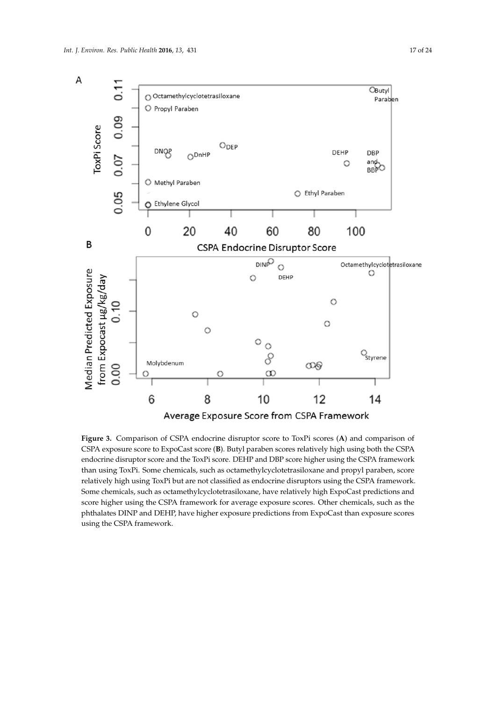<span id="page-16-0"></span>

**Figure 3.** Comparison of CSPA endocrine disruptor score to ToxPi scores (**A**) and comparison of CSPA exposure score to ExpoCast score (**B**). Butyl paraben scores relatively high using both the CSPA endocrine disruptor score and the ToxPi score. DEHP and DBP score higher using the CSPA framework than using ToxPi. Some chemicals, such as octamethylcyclotetrasiloxane and propyl paraben, score relatively high using ToxPi but are not classified as endocrine disruptors using the CSPA framework. Some chemicals, such as octamethylcyclotetrasiloxane, have relatively high ExpoCast predictions and score higher using the CSPA framework for average exposure scores. Other chemicals, such as the phthalates DINP and DEHP, have higher exposure predictions from ExpoCast than exposure scores using the CSPA framework.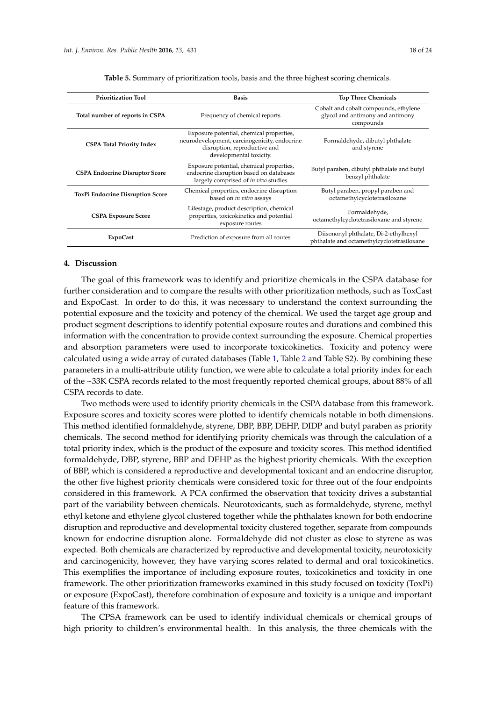<span id="page-17-0"></span>

| <b>Prioritization Tool</b>              | <b>Basis</b>                                                                                                                                        | <b>Top Three Chemicals</b>                                                             |  |  |
|-----------------------------------------|-----------------------------------------------------------------------------------------------------------------------------------------------------|----------------------------------------------------------------------------------------|--|--|
| Total number of reports in CSPA         | Frequency of chemical reports                                                                                                                       | Cobalt and cobalt compounds, ethylene<br>glycol and antimony and antimony<br>compounds |  |  |
| <b>CSPA Total Priority Index</b>        | Exposure potential, chemical properties,<br>neurodevelopment, carcinogenicity, endocrine<br>disruption, reproductive and<br>developmental toxicity. | Formaldehyde, dibutyl phthalate<br>and styrene                                         |  |  |
| <b>CSPA Endocrine Disruptor Score</b>   | Exposure potential, chemical properties,<br>endocrine disruption based on databases<br>largely comprised of in vivo studies                         | Butyl paraben, dibutyl phthalate and butyl<br>benzyl phthalate                         |  |  |
| <b>ToxPi Endocrine Disruption Score</b> | Chemical properties, endocrine disruption<br>based on in vitro assays                                                                               | Butyl paraben, propyl paraben and<br>octamethylcyclotetrasiloxane                      |  |  |
| <b>CSPA Exposure Score</b>              | Lifestage, product description, chemical<br>properties, toxicokinetics and potential<br>exposure routes                                             | Formaldehyde,<br>octamethylcyclotetrasiloxane and styrene                              |  |  |
| <b>ExpoCast</b>                         | Prediction of exposure from all routes                                                                                                              | Diisononyl phthalate, Di-2-ethylhexyl<br>phthalate and octamethylcyclotetrasiloxane    |  |  |

**Table 5.** Summary of prioritization tools, basis and the three highest scoring chemicals.

# **4. Discussion**

The goal of this framework was to identify and prioritize chemicals in the CSPA database for further consideration and to compare the results with other prioritization methods, such as ToxCast and ExpoCast. In order to do this, it was necessary to understand the context surrounding the potential exposure and the toxicity and potency of the chemical. We used the target age group and product segment descriptions to identify potential exposure routes and durations and combined this information with the concentration to provide context surrounding the exposure. Chemical properties and absorption parameters were used to incorporate toxicokinetics. Toxicity and potency were calculated using a wide array of curated databases (Table [1,](#page-4-0) Table [2](#page-5-0) and Table S2). By combining these parameters in a multi-attribute utility function, we were able to calculate a total priority index for each of the ~33K CSPA records related to the most frequently reported chemical groups, about 88% of all CSPA records to date.

Two methods were used to identify priority chemicals in the CSPA database from this framework. Exposure scores and toxicity scores were plotted to identify chemicals notable in both dimensions. This method identified formaldehyde, styrene, DBP, BBP, DEHP, DIDP and butyl paraben as priority chemicals. The second method for identifying priority chemicals was through the calculation of a total priority index, which is the product of the exposure and toxicity scores. This method identified formaldehyde, DBP, styrene, BBP and DEHP as the highest priority chemicals. With the exception of BBP, which is considered a reproductive and developmental toxicant and an endocrine disruptor, the other five highest priority chemicals were considered toxic for three out of the four endpoints considered in this framework. A PCA confirmed the observation that toxicity drives a substantial part of the variability between chemicals. Neurotoxicants, such as formaldehyde, styrene, methyl ethyl ketone and ethylene glycol clustered together while the phthalates known for both endocrine disruption and reproductive and developmental toxicity clustered together, separate from compounds known for endocrine disruption alone. Formaldehyde did not cluster as close to styrene as was expected. Both chemicals are characterized by reproductive and developmental toxicity, neurotoxicity and carcinogenicity, however, they have varying scores related to dermal and oral toxicokinetics. This exemplifies the importance of including exposure routes, toxicokinetics and toxicity in one framework. The other prioritization frameworks examined in this study focused on toxicity (ToxPi) or exposure (ExpoCast), therefore combination of exposure and toxicity is a unique and important feature of this framework.

The CPSA framework can be used to identify individual chemicals or chemical groups of high priority to children's environmental health. In this analysis, the three chemicals with the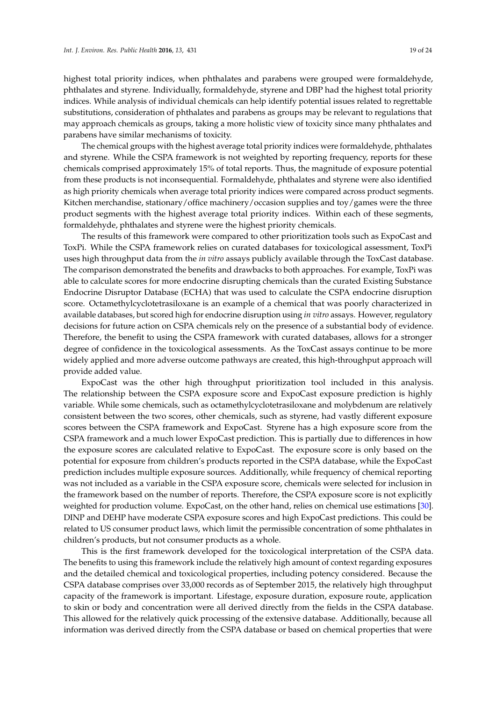highest total priority indices, when phthalates and parabens were grouped were formaldehyde, phthalates and styrene. Individually, formaldehyde, styrene and DBP had the highest total priority indices. While analysis of individual chemicals can help identify potential issues related to regrettable substitutions, consideration of phthalates and parabens as groups may be relevant to regulations that may approach chemicals as groups, taking a more holistic view of toxicity since many phthalates and parabens have similar mechanisms of toxicity.

The chemical groups with the highest average total priority indices were formaldehyde, phthalates and styrene. While the CSPA framework is not weighted by reporting frequency, reports for these chemicals comprised approximately 15% of total reports. Thus, the magnitude of exposure potential from these products is not inconsequential. Formaldehyde, phthalates and styrene were also identified as high priority chemicals when average total priority indices were compared across product segments. Kitchen merchandise, stationary/office machinery/occasion supplies and toy/games were the three product segments with the highest average total priority indices. Within each of these segments, formaldehyde, phthalates and styrene were the highest priority chemicals.

The results of this framework were compared to other prioritization tools such as ExpoCast and ToxPi. While the CSPA framework relies on curated databases for toxicological assessment, ToxPi uses high throughput data from the *in vitro* assays publicly available through the ToxCast database. The comparison demonstrated the benefits and drawbacks to both approaches. For example, ToxPi was able to calculate scores for more endocrine disrupting chemicals than the curated Existing Substance Endocrine Disruptor Database (ECHA) that was used to calculate the CSPA endocrine disruption score. Octamethylcyclotetrasiloxane is an example of a chemical that was poorly characterized in available databases, but scored high for endocrine disruption using *in vitro* assays. However, regulatory decisions for future action on CSPA chemicals rely on the presence of a substantial body of evidence. Therefore, the benefit to using the CSPA framework with curated databases, allows for a stronger degree of confidence in the toxicological assessments. As the ToxCast assays continue to be more widely applied and more adverse outcome pathways are created, this high-throughput approach will provide added value.

ExpoCast was the other high throughput prioritization tool included in this analysis. The relationship between the CSPA exposure score and ExpoCast exposure prediction is highly variable. While some chemicals, such as octamethylcyclotetrasiloxane and molybdenum are relatively consistent between the two scores, other chemicals, such as styrene, had vastly different exposure scores between the CSPA framework and ExpoCast. Styrene has a high exposure score from the CSPA framework and a much lower ExpoCast prediction. This is partially due to differences in how the exposure scores are calculated relative to ExpoCast. The exposure score is only based on the potential for exposure from children's products reported in the CSPA database, while the ExpoCast prediction includes multiple exposure sources. Additionally, while frequency of chemical reporting was not included as a variable in the CSPA exposure score, chemicals were selected for inclusion in the framework based on the number of reports. Therefore, the CSPA exposure score is not explicitly weighted for production volume. ExpoCast, on the other hand, relies on chemical use estimations [\[30\]](#page-22-20). DINP and DEHP have moderate CSPA exposure scores and high ExpoCast predictions. This could be related to US consumer product laws, which limit the permissible concentration of some phthalates in children's products, but not consumer products as a whole.

This is the first framework developed for the toxicological interpretation of the CSPA data. The benefits to using this framework include the relatively high amount of context regarding exposures and the detailed chemical and toxicological properties, including potency considered. Because the CSPA database comprises over 33,000 records as of September 2015, the relatively high throughput capacity of the framework is important. Lifestage, exposure duration, exposure route, application to skin or body and concentration were all derived directly from the fields in the CSPA database. This allowed for the relatively quick processing of the extensive database. Additionally, because all information was derived directly from the CSPA database or based on chemical properties that were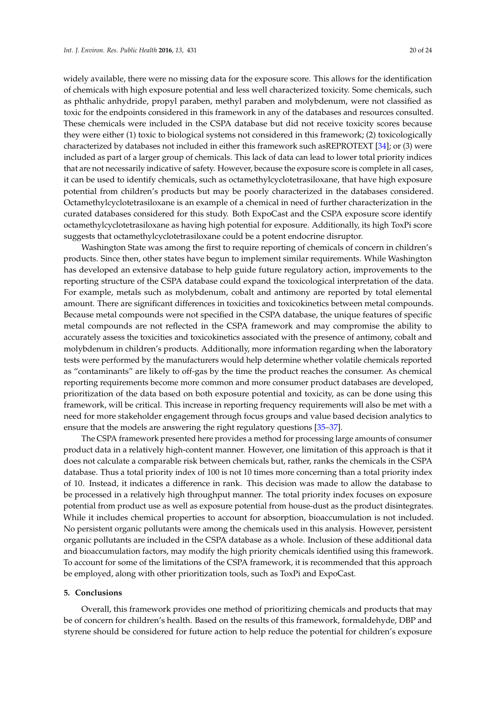widely available, there were no missing data for the exposure score. This allows for the identification of chemicals with high exposure potential and less well characterized toxicity. Some chemicals, such as phthalic anhydride, propyl paraben, methyl paraben and molybdenum, were not classified as toxic for the endpoints considered in this framework in any of the databases and resources consulted. These chemicals were included in the CSPA database but did not receive toxicity scores because they were either (1) toxic to biological systems not considered in this framework; (2) toxicologically characterized by databases not included in either this framework such asREPROTEXT [\[34\]](#page-22-24); or (3) were included as part of a larger group of chemicals. This lack of data can lead to lower total priority indices that are not necessarily indicative of safety. However, because the exposure score is complete in all cases, it can be used to identify chemicals, such as octamethylcyclotetrasiloxane, that have high exposure potential from children's products but may be poorly characterized in the databases considered. Octamethylcyclotetrasiloxane is an example of a chemical in need of further characterization in the curated databases considered for this study. Both ExpoCast and the CSPA exposure score identify octamethylcyclotetrasiloxane as having high potential for exposure. Additionally, its high ToxPi score suggests that octamethylcyclotetrasiloxane could be a potent endocrine disruptor.

Washington State was among the first to require reporting of chemicals of concern in children's products. Since then, other states have begun to implement similar requirements. While Washington has developed an extensive database to help guide future regulatory action, improvements to the reporting structure of the CSPA database could expand the toxicological interpretation of the data. For example, metals such as molybdenum, cobalt and antimony are reported by total elemental amount. There are significant differences in toxicities and toxicokinetics between metal compounds. Because metal compounds were not specified in the CSPA database, the unique features of specific metal compounds are not reflected in the CSPA framework and may compromise the ability to accurately assess the toxicities and toxicokinetics associated with the presence of antimony, cobalt and molybdenum in children's products. Additionally, more information regarding when the laboratory tests were performed by the manufacturers would help determine whether volatile chemicals reported as "contaminants" are likely to off-gas by the time the product reaches the consumer. As chemical reporting requirements become more common and more consumer product databases are developed, prioritization of the data based on both exposure potential and toxicity, as can be done using this framework, will be critical. This increase in reporting frequency requirements will also be met with a need for more stakeholder engagement through focus groups and value based decision analytics to ensure that the models are answering the right regulatory questions [\[35–](#page-22-25)[37\]](#page-23-0).

The CSPA framework presented here provides a method for processing large amounts of consumer product data in a relatively high-content manner. However, one limitation of this approach is that it does not calculate a comparable risk between chemicals but, rather, ranks the chemicals in the CSPA database. Thus a total priority index of 100 is not 10 times more concerning than a total priority index of 10. Instead, it indicates a difference in rank. This decision was made to allow the database to be processed in a relatively high throughput manner. The total priority index focuses on exposure potential from product use as well as exposure potential from house-dust as the product disintegrates. While it includes chemical properties to account for absorption, bioaccumulation is not included. No persistent organic pollutants were among the chemicals used in this analysis. However, persistent organic pollutants are included in the CSPA database as a whole. Inclusion of these additional data and bioaccumulation factors, may modify the high priority chemicals identified using this framework. To account for some of the limitations of the CSPA framework, it is recommended that this approach be employed, along with other prioritization tools, such as ToxPi and ExpoCast.

#### **5. Conclusions**

Overall, this framework provides one method of prioritizing chemicals and products that may be of concern for children's health. Based on the results of this framework, formaldehyde, DBP and styrene should be considered for future action to help reduce the potential for children's exposure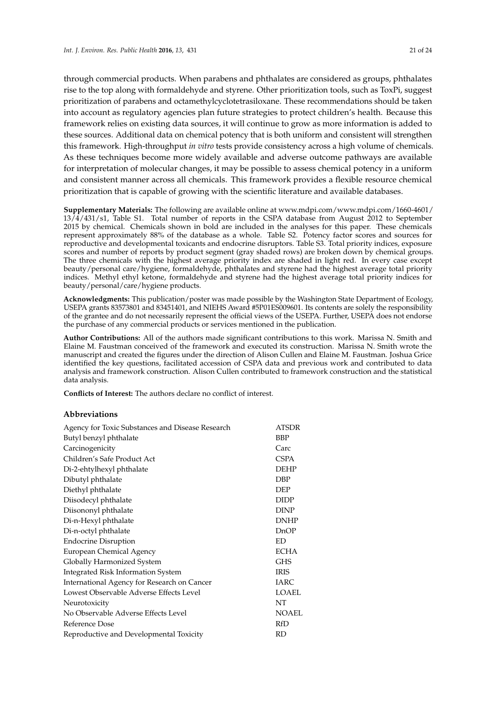through commercial products. When parabens and phthalates are considered as groups, phthalates rise to the top along with formaldehyde and styrene. Other prioritization tools, such as ToxPi, suggest prioritization of parabens and octamethylcyclotetrasiloxane. These recommendations should be taken into account as regulatory agencies plan future strategies to protect children's health. Because this framework relies on existing data sources, it will continue to grow as more information is added to these sources. Additional data on chemical potency that is both uniform and consistent will strengthen this framework. High-throughput *in vitro* tests provide consistency across a high volume of chemicals. As these techniques become more widely available and adverse outcome pathways are available for interpretation of molecular changes, it may be possible to assess chemical potency in a uniform and consistent manner across all chemicals. This framework provides a flexible resource chemical prioritization that is capable of growing with the scientific literature and available databases.

**Supplementary Materials:** The following are available online at www.mdpi.com/www.mdpi.com/1660-4601/ 13/4/431/s1, Table S1. Total number of reports in the CSPA database from August 2012 to September 2015 by chemical. Chemicals shown in bold are included in the analyses for this paper. These chemicals represent approximately 88% of the database as a whole. Table S2. Potency factor scores and sources for reproductive and developmental toxicants and endocrine disruptors. Table S3. Total priority indices, exposure scores and number of reports by product segment (gray shaded rows) are broken down by chemical groups. The three chemicals with the highest average priority index are shaded in light red. In every case except beauty/personal care/hygiene, formaldehyde, phthalates and styrene had the highest average total priority indices. Methyl ethyl ketone, formaldehyde and styrene had the highest average total priority indices for beauty/personal/care/hygiene products.

**Acknowledgments:** This publication/poster was made possible by the Washington State Department of Ecology, USEPA grants 83573801 and 83451401, and NIEHS Award #5P01ES009601. Its contents are solely the responsibility of the grantee and do not necessarily represent the official views of the USEPA. Further, USEPA does not endorse the purchase of any commercial products or services mentioned in the publication.

**Author Contributions:** All of the authors made significant contributions to this work. Marissa N. Smith and Elaine M. Faustman conceived of the framework and executed its construction. Marissa N. Smith wrote the manuscript and created the figures under the direction of Alison Cullen and Elaine M. Faustman. Joshua Grice identified the key questions, facilitated accession of CSPA data and previous work and contributed to data analysis and framework construction. Alison Cullen contributed to framework construction and the statistical data analysis.

**Conflicts of Interest:** The authors declare no conflict of interest.

# **Abbreviations**

| Agency for Toxic Substances and Disease Research | <b>ATSDR</b> |
|--------------------------------------------------|--------------|
| Butyl benzyl phthalate                           | <b>BBP</b>   |
| Carcinogenicity                                  | Carc         |
| Children's Safe Product Act                      | <b>CSPA</b>  |
| Di-2-ehtylhexyl phthalate                        | <b>DEHP</b>  |
| Dibutyl phthalate                                | <b>DBP</b>   |
| Diethyl phthalate                                | <b>DEP</b>   |
| Diisodecyl phthalate                             | <b>DIDP</b>  |
| Diisononyl phthalate                             | <b>DINP</b>  |
| Di-n-Hexyl phthalate                             | <b>DNHP</b>  |
| Di-n-octyl phthalate                             | DnOP         |
| <b>Endocrine Disruption</b>                      | <b>ED</b>    |
| <b>European Chemical Agency</b>                  | <b>ECHA</b>  |
| Globally Harmonized System                       | <b>GHS</b>   |
| <b>Integrated Risk Information System</b>        | <b>IRIS</b>  |
| International Agency for Research on Cancer      | <b>IARC</b>  |
| Lowest Observable Adverse Effects Level          | LOAEL        |
| Neurotoxicity                                    | <b>NT</b>    |
| No Observable Adverse Effects Level              | <b>NOAEL</b> |
| Reference Dose                                   | <b>RfD</b>   |
| Reproductive and Developmental Toxicity          | RD           |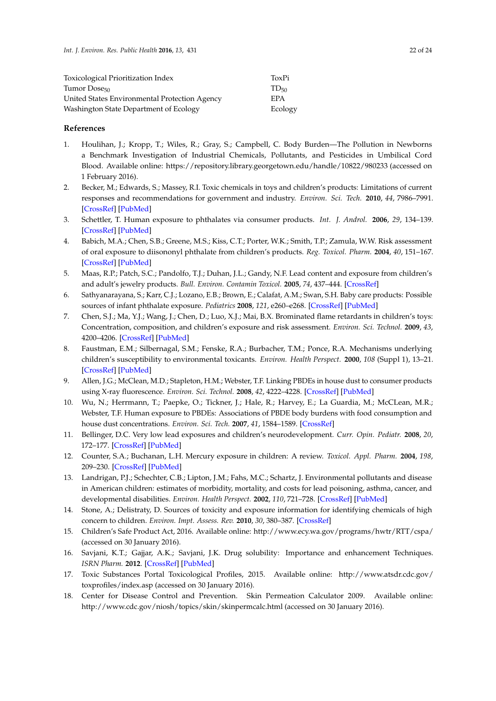| Toxicological Prioritization Index            | ToxPi      |
|-----------------------------------------------|------------|
| Tumor Dose <sub>50</sub>                      | $TD_{50}$  |
| United States Environmental Protection Agency | <b>FPA</b> |
| Washington State Department of Ecology        | Ecology    |

#### **References**

- <span id="page-21-0"></span>1. Houlihan, J.; Kropp, T.; Wiles, R.; Gray, S.; Campbell, C. Body Burden—The Pollution in Newborns a Benchmark Investigation of Industrial Chemicals, Pollutants, and Pesticides in Umbilical Cord Blood. Available online: https://repository.library.georgetown.edu/handle/10822/980233 (accessed on 1 February 2016).
- <span id="page-21-1"></span>2. Becker, M.; Edwards, S.; Massey, R.I. Toxic chemicals in toys and children's products: Limitations of current responses and recommendations for government and industry. *Environ. Sci. Tech.* **2010**, *44*, 7986–7991. [\[CrossRef\]](http://dx.doi.org/10.1021/es1009407) [\[PubMed\]](http://www.ncbi.nlm.nih.gov/pubmed/20873709)
- 3. Schettler, T. Human exposure to phthalates via consumer products. *Int. J. Androl.* **2006**, *29*, 134–139. [\[CrossRef\]](http://dx.doi.org/10.1111/j.1365-2605.2005.00567.x) [\[PubMed\]](http://www.ncbi.nlm.nih.gov/pubmed/16466533)
- <span id="page-21-3"></span>4. Babich, M.A.; Chen, S.B.; Greene, M.S.; Kiss, C.T.; Porter, W.K.; Smith, T.P.; Zamula, W.W. Risk assessment of oral exposure to diisononyl phthalate from children's products. *Reg. Toxicol. Pharm.* **2004**, *40*, 151–167. [\[CrossRef\]](http://dx.doi.org/10.1016/j.yrtph.2004.06.005) [\[PubMed\]](http://www.ncbi.nlm.nih.gov/pubmed/15450718)
- <span id="page-21-4"></span>5. Maas, R.P.; Patch, S.C.; Pandolfo, T.J.; Duhan, J.L.; Gandy, N.F. Lead content and exposure from children's and adult's jewelry products. *Bull. Environ. Contamin Toxicol.* **2005**, *74*, 437–444. [\[CrossRef\]](http://dx.doi.org/10.1007/s00128-005-0605-3)
- <span id="page-21-2"></span>6. Sathyanarayana, S.; Karr, C.J.; Lozano, E.B.; Brown, E.; Calafat, A.M.; Swan, S.H. Baby care products: Possible sources of infant phthalate exposure. *Pediatrics* **2008**, *121*, e260–e268. [\[CrossRef\]](http://dx.doi.org/10.1542/peds.2006-3766) [\[PubMed\]](http://www.ncbi.nlm.nih.gov/pubmed/18245401)
- <span id="page-21-14"></span><span id="page-21-5"></span>7. Chen, S.J.; Ma, Y.J.; Wang, J.; Chen, D.; Luo, X.J.; Mai, B.X. Brominated flame retardants in children's toys: Concentration, composition, and children's exposure and risk assessment. *Environ. Sci. Technol.* **2009**, *43*, 4200–4206. [\[CrossRef\]](http://dx.doi.org/10.1021/es9004834) [\[PubMed\]](http://www.ncbi.nlm.nih.gov/pubmed/19569352)
- <span id="page-21-15"></span><span id="page-21-6"></span>8. Faustman, E.M.; Silbernagal, S.M.; Fenske, R.A.; Burbacher, T.M.; Ponce, R.A. Mechanisms underlying children's susceptibility to environmental toxicants. *Environ. Health Perspect.* **2000**, *108* (Suppl 1), 13–21. [\[CrossRef\]](http://dx.doi.org/10.1289/ehp.00108s113) [\[PubMed\]](http://www.ncbi.nlm.nih.gov/pubmed/10698720)
- <span id="page-21-17"></span><span id="page-21-16"></span><span id="page-21-7"></span>9. Allen, J.G.; McClean, M.D.; Stapleton, H.M.; Webster, T.F. Linking PBDEs in house dust to consumer products using X-ray fluorescence. *Environ. Sci. Technol.* **2008**, *42*, 4222–4228. [\[CrossRef\]](http://dx.doi.org/10.1021/es702964a) [\[PubMed\]](http://www.ncbi.nlm.nih.gov/pubmed/18589991)
- <span id="page-21-8"></span>10. Wu, N.; Herrmann, T.; Paepke, O.; Tickner, J.; Hale, R.; Harvey, E.; La Guardia, M.; McCLean, M.R.; Webster, T.F. Human exposure to PBDEs: Associations of PBDE body burdens with food consumption and house dust concentrations. *Environ. Sci. Tech.* **2007**, *41*, 1584–1589. [\[CrossRef\]](http://dx.doi.org/10.1021/es0620282)
- <span id="page-21-9"></span>11. Bellinger, D.C. Very low lead exposures and children's neurodevelopment. *Curr. Opin. Pediatr.* **2008**, *20*, 172–177. [\[CrossRef\]](http://dx.doi.org/10.1097/MOP.0b013e3282f4f97b) [\[PubMed\]](http://www.ncbi.nlm.nih.gov/pubmed/18332714)
- <span id="page-21-10"></span>12. Counter, S.A.; Buchanan, L.H. Mercury exposure in children: A review. *Toxicol. Appl. Pharm.* **2004**, *198*, 209–230. [\[CrossRef\]](http://dx.doi.org/10.1016/j.taap.2003.11.032) [\[PubMed\]](http://www.ncbi.nlm.nih.gov/pubmed/15236954)
- <span id="page-21-11"></span>13. Landrigan, P.J.; Schechter, C.B.; Lipton, J.M.; Fahs, M.C.; Schartz, J. Environmental pollutants and disease in American children: estimates of morbidity, mortality, and costs for lead poisoning, asthma, cancer, and developmental disabilities. *Environ. Health Perspect.* **2002**, *110*, 721–728. [\[CrossRef\]](http://dx.doi.org/10.1289/ehp.02110721) [\[PubMed\]](http://www.ncbi.nlm.nih.gov/pubmed/12117650)
- <span id="page-21-12"></span>14. Stone, A.; Delistraty, D. Sources of toxicity and exposure information for identifying chemicals of high concern to children. *Environ. Impt. Assess. Rev.* **2010**, *30*, 380–387. [\[CrossRef\]](http://dx.doi.org/10.1016/j.eiar.2009.11.002)
- <span id="page-21-13"></span>15. Children's Safe Product Act, 2016. Available online: http://www.ecy.wa.gov/programs/hwtr/RTT/cspa/ (accessed on 30 January 2016).
- <span id="page-21-18"></span>16. Savjani, K.T.; Gajjar, A.K.; Savjani, J.K. Drug solubility: Importance and enhancement Techniques. *ISRN Pharm.* **2012**. [\[CrossRef\]](http://dx.doi.org/10.5402/2012/195727) [\[PubMed\]](http://www.ncbi.nlm.nih.gov/pubmed/22830056)
- 17. Toxic Substances Portal Toxicological Profiles, 2015. Available online: http://www.atsdr.cdc.gov/ toxprofiles/index.asp (accessed on 30 January 2016).
- <span id="page-21-19"></span>18. Center for Disease Control and Prevention. Skin Permeation Calculator 2009. Available online: http://www.cdc.gov/niosh/topics/skin/skinpermcalc.html (accessed on 30 January 2016).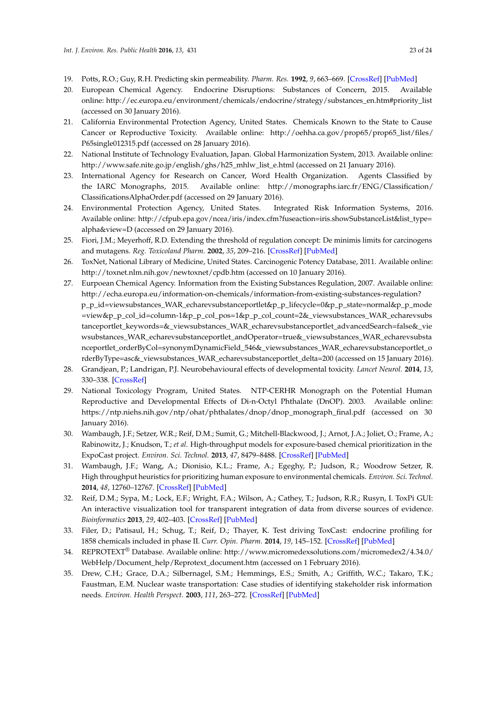- <span id="page-22-10"></span><span id="page-22-8"></span><span id="page-22-7"></span><span id="page-22-6"></span><span id="page-22-5"></span><span id="page-22-4"></span><span id="page-22-3"></span><span id="page-22-2"></span><span id="page-22-1"></span><span id="page-22-0"></span>19. Potts, R.O.; Guy, R.H. Predicting skin permeability. *Pharm. Res.* **1992**, *9*, 663–669. [\[CrossRef\]](http://dx.doi.org/10.1023/A:1015810312465) [\[PubMed\]](http://www.ncbi.nlm.nih.gov/pubmed/1608900)
- <span id="page-22-13"></span>20. European Chemical Agency. Endocrine Disruptions: Substances of Concern, 2015. Available online: http://ec.europa.eu/environment/chemicals/endocrine/strategy/substances\_en.htm#priority\_list (accessed on 30 January 2016).
- <span id="page-22-14"></span>21. California Environmental Protection Agency, United States. Chemicals Known to the State to Cause Cancer or Reproductive Toxicity. Available online: http://oehha.ca.gov/prop65/prop65\_list/files/ P65single012315.pdf (accessed on 28 January 2016).
- <span id="page-22-12"></span><span id="page-22-9"></span>22. National Institute of Technology Evaluation, Japan. Global Harmonization System, 2013. Available online: http://www.safe.nite.go.jp/english/ghs/h25\_mhlw\_list\_e.html (accessed on 21 January 2016).
- <span id="page-22-15"></span>23. International Agency for Research on Cancer, Word Health Organization. Agents Classified by the IARC Monographs, 2015. Available online: http://monographs.iarc.fr/ENG/Classification/ ClassificationsAlphaOrder.pdf (accessed on 29 January 2016).
- <span id="page-22-16"></span>24. Environmental Protection Agency, United States. Integrated Risk Information Systems, 2016. Available online: http://cfpub.epa.gov/ncea/iris/index.cfm?fuseaction=iris.showSubstanceList&list\_type= alpha&view=D (accessed on 29 January 2016).
- 25. Fiori, J.M.; Meyerhoff, R.D. Extending the threshold of regulation concept: De minimis limits for carcinogens and mutagens. *Reg. Toxicoland Pharm.* **2002**, *35*, 209–216. [\[CrossRef\]](http://dx.doi.org/10.1006/rtph.2002.1534) [\[PubMed\]](http://www.ncbi.nlm.nih.gov/pubmed/12052005)
- <span id="page-22-19"></span>26. ToxNet, National Library of Medicine, United States. Carcinogenic Potency Database, 2011. Available online: http://toxnet.nlm.nih.gov/newtoxnet/cpdb.htm (accessed on 10 January 2016).
- <span id="page-22-11"></span>27. Eurpoean Chemical Agency. Information from the Existing Substances Regulation, 2007. Available online: http://echa.europa.eu/information-on-chemicals/information-from-existing-substances-regulation? p\_p\_id=viewsubstances\_WAR\_echarevsubstanceportlet&p\_p\_lifecycle=0&p\_p\_state=normal&p\_p\_mode =view&p\_p\_col\_id=column-1&p\_p\_col\_pos=1&p\_p\_col\_count=2&\_viewsubstances\_WAR\_echarevsubs tanceportlet\_keywords=&\_viewsubstances\_WAR\_echarevsubstanceportlet\_advancedSearch=false&\_vie wsubstances\_WAR\_echarevsubstanceportlet\_andOperator=true&\_viewsubstances\_WAR\_echarevsubsta nceportlet\_orderByCol=synonymDynamicField\_546&\_viewsubstances\_WAR\_echarevsubstanceportlet\_o rderByType=asc&\_viewsubstances\_WAR\_echarevsubstanceportlet\_delta=200 (accessed on 15 January 2016).
- <span id="page-22-17"></span>28. Grandjean, P.; Landrigan, P.J. Neurobehavioural effects of developmental toxicity. *Lancet Neurol.* **2014**, *13*, 330–338. [\[CrossRef\]](http://dx.doi.org/10.1016/S1474-4422(13)70278-3)
- <span id="page-22-18"></span>29. National Toxicology Program, United States. NTP-CERHR Monograph on the Potential Human Reproductive and Developmental Effects of Di-n-Octyl Phthalate (DnOP). 2003. Available online: https://ntp.niehs.nih.gov/ntp/ohat/phthalates/dnop/dnop\_monograph\_final.pdf (accessed on 30 January 2016).
- <span id="page-22-20"></span>30. Wambaugh, J.F.; Setzer, W.R.; Reif, D.M.; Sumit, G.; Mitchell-Blackwood, J.; Arnot, J.A.; Joliet, O.; Frame, A.; Rabinowitz, J.; Knudson, T.; *et al.* High-throughput models for exposure-based chemical prioritization in the ExpoCast project. *Environ. Sci. Technol.* **2013**, *47*, 8479–8488. [\[CrossRef\]](http://dx.doi.org/10.1021/es400482g) [\[PubMed\]](http://www.ncbi.nlm.nih.gov/pubmed/23758710)
- <span id="page-22-21"></span>31. Wambaugh, J.F.; Wang, A.; Dionisio, K.L.; Frame, A.; Egeghy, P.; Judson, R.; Woodrow Setzer, R. High throughput heuristics for prioritizing human exposure to environmental chemicals. *Environ. Sci. Technol.* **2014**, *48*, 12760–12767. [\[CrossRef\]](http://dx.doi.org/10.1021/es503583j) [\[PubMed\]](http://www.ncbi.nlm.nih.gov/pubmed/25343693)
- <span id="page-22-22"></span>32. Reif, D.M.; Sypa, M.; Lock, E.F.; Wright, F.A.; Wilson, A.; Cathey, T.; Judson, R.R.; Rusyn, I. ToxPi GUI: An interactive visualization tool for transparent integration of data from diverse sources of evidence. *Bioinformatics* **2013**, *29*, 402–403. [\[CrossRef\]](http://dx.doi.org/10.1093/bioinformatics/bts686) [\[PubMed\]](http://www.ncbi.nlm.nih.gov/pubmed/23202747)
- <span id="page-22-23"></span>33. Filer, D.; Patisaul, H.; Schug, T.; Reif, D.; Thayer, K. Test driving ToxCast: endocrine profiling for 1858 chemicals included in phase II. *Curr. Opin. Pharm.* **2014**, *19*, 145–152. [\[CrossRef\]](http://dx.doi.org/10.1016/j.coph.2014.09.021) [\[PubMed\]](http://www.ncbi.nlm.nih.gov/pubmed/25460227)
- <span id="page-22-24"></span>34. REPROTEXT® Database. Available online: http://www.micromedexsolutions.com/micromedex2/4.34.0/ WebHelp/Document\_help/Reprotext\_document.htm (accessed on 1 February 2016).
- <span id="page-22-25"></span>35. Drew, C.H.; Grace, D.A.; Silbernagel, S.M.; Hemmings, E.S.; Smith, A.; Griffith, W.C.; Takaro, T.K.; Faustman, E.M. Nuclear waste transportation: Case studies of identifying stakeholder risk information needs. *Environ. Health Perspect.* **2003**, *111*, 263–272. [\[CrossRef\]](http://dx.doi.org/10.1289/ehp.5203) [\[PubMed\]](http://www.ncbi.nlm.nih.gov/pubmed/12611653)